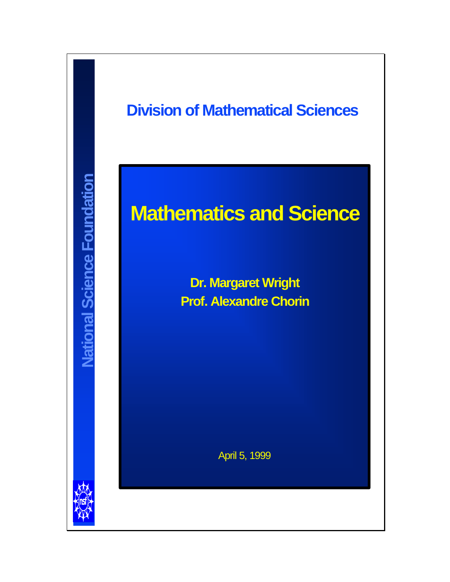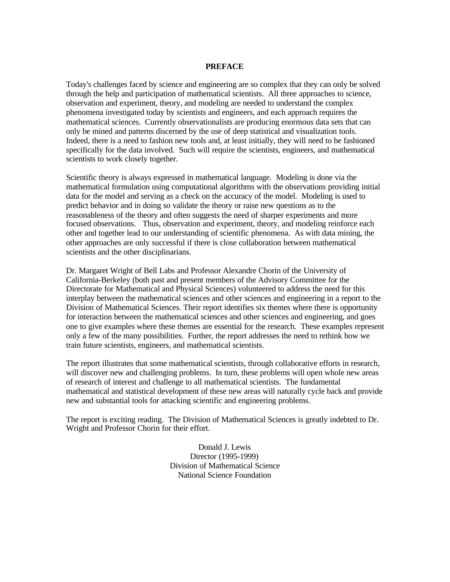#### **PREFACE**

Today's challenges faced by science and engineering are so complex that they can only be solved through the help and participation of mathematical scientists. All three approaches to science, observation and experiment, theory, and modeling are needed to understand the complex phenomena investigated today by scientists and engineers, and each approach requires the mathematical sciences. Currently observationalists are producing enormous data sets that can only be mined and patterns discerned by the use of deep statistical and visualization tools. Indeed, there is a need to fashion new tools and, at least initially, they will need to be fashioned specifically for the data involved. Such will require the scientists, engineers, and mathematical scientists to work closely together.

Scientific theory is always expressed in mathematical language. Modeling is done via the mathematical formulation using computational algorithms with the observations providing initial data for the model and serving as a check on the accuracy of the model. Modeling is used to predict behavior and in doing so validate the theory or raise new questions as to the reasonableness of the theory and often suggests the need of sharper experiments and more focused observations. Thus, observation and experiment, theory, and modeling reinforce each other and together lead to our understanding of scientific phenomena. As with data mining, the other approaches are only successful if there is close collaboration between mathematical scientists and the other disciplinarians.

Dr. Margaret Wright of Bell Labs and Professor Alexandre Chorin of the University of California-Berkeley (both past and present members of the Advisory Committee for the Directorate for Mathematical and Physical Sciences) volunteered to address the need for this interplay between the mathematical sciences and other sciences and engineering in a report to the Division of Mathematical Sciences. Their report identifies six themes where there is opportunity for interaction between the mathematical sciences and other sciences and engineering, and goes one to give examples where these themes are essential for the research. These examples represent only a few of the many possibilities. Further, the report addresses the need to rethink how we train future scientists, engineers, and mathematical scientists.

The report illustrates that some mathematical scientists, through collaborative efforts in research, will discover new and challenging problems. In turn, these problems will open whole new areas of research of interest and challenge to all mathematical scientists. The fundamental mathematical and statistical development of these new areas will naturally cycle back and provide new and substantial tools for attacking scientific and engineering problems.

The report is exciting reading. The Division of Mathematical Sciences is greatly indebted to Dr. Wright and Professor Chorin for their effort.

> Donald J. Lewis Director (1995-1999) Division of Mathematical Science National Science Foundation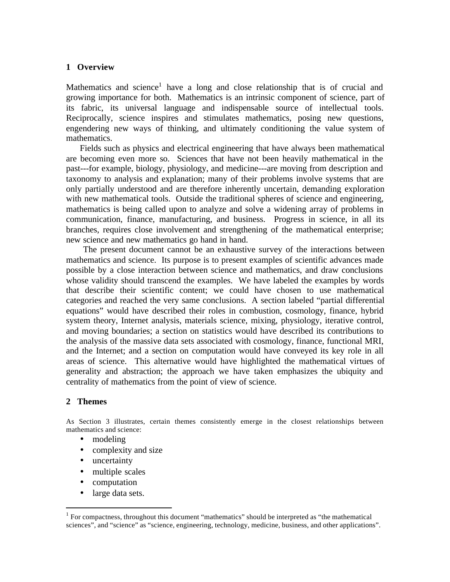### **1 Overview**

Mathematics and science<sup>1</sup> have a long and close relationship that is of crucial and growing importance for both. Mathematics is an intrinsic component of science, part of its fabric, its universal language and indispensable source of intellectual tools. Reciprocally, science inspires and stimulates mathematics, posing new questions, engendering new ways of thinking, and ultimately conditioning the value system of mathematics.

 Fields such as physics and electrical engineering that have always been mathematical are becoming even more so. Sciences that have not been heavily mathematical in the past---for example, biology, physiology, and medicine---are moving from description and taxonomy to analysis and explanation; many of their problems involve systems that are only partially understood and are therefore inherently uncertain, demanding exploration with new mathematical tools. Outside the traditional spheres of science and engineering, mathematics is being called upon to analyze and solve a widening array of problems in communication, finance, manufacturing, and business. Progress in science, in all its branches, requires close involvement and strengthening of the mathematical enterprise; new science and new mathematics go hand in hand.

 The present document cannot be an exhaustive survey of the interactions between mathematics and science. Its purpose is to present examples of scientific advances made possible by a close interaction between science and mathematics, and draw conclusions whose validity should transcend the examples. We have labeled the examples by words that describe their scientific content; we could have chosen to use mathematical categories and reached the very same conclusions. A section labeled "partial differential equations" would have described their roles in combustion, cosmology, finance, hybrid system theory, Internet analysis, materials science, mixing, physiology, iterative control, and moving boundaries; a section on statistics would have described its contributions to the analysis of the massive data sets associated with cosmology, finance, functional MRI, and the Internet; and a section on computation would have conveyed its key role in all areas of science. This alternative would have highlighted the mathematical virtues of generality and abstraction; the approach we have taken emphasizes the ubiquity and centrality of mathematics from the point of view of science.

### **2 Themes**

 $\overline{a}$ 

As Section 3 illustrates, certain themes consistently emerge in the closest relationships between mathematics and science:

- modeling
- complexity and size
- uncertainty
- multiple scales
- computation
- large data sets.

 $<sup>1</sup>$  For compactness, throughout this document "mathematics" should be interpreted as "the mathematical</sup> sciences", and "science" as "science, engineering, technology, medicine, business, and other applications".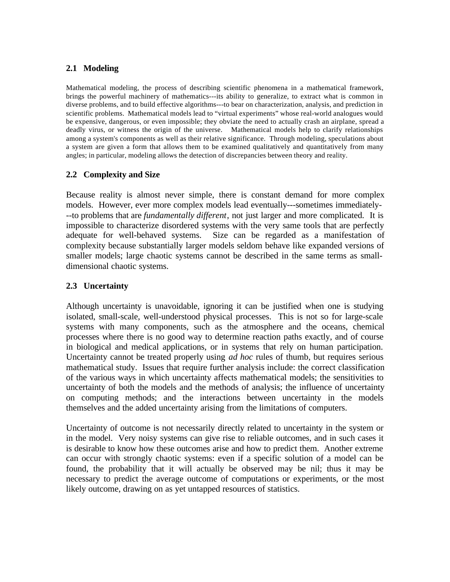# **2.1 Modeling**

Mathematical modeling, the process of describing scientific phenomena in a mathematical framework, brings the powerful machinery of mathematics---its ability to generalize, to extract what is common in diverse problems, and to build effective algorithms---to bear on characterization, analysis, and prediction in scientific problems. Mathematical models lead to "virtual experiments" whose real-world analogues would be expensive, dangerous, or even impossible; they obviate the need to actually crash an airplane, spread a deadly virus, or witness the origin of the universe. Mathematical models help to clarify relationships among a system's components as well as their relative significance. Through modeling, speculations about a system are given a form that allows them to be examined qualitatively and quantitatively from many angles; in particular, modeling allows the detection of discrepancies between theory and reality.

# **2.2 Complexity and Size**

Because reality is almost never simple, there is constant demand for more complex models. However, ever more complex models lead eventually---sometimes immediately- --to problems that are *fundamentally different*, not just larger and more complicated. It is impossible to characterize disordered systems with the very same tools that are perfectly adequate for well-behaved systems. Size can be regarded as a manifestation of complexity because substantially larger models seldom behave like expanded versions of smaller models; large chaotic systems cannot be described in the same terms as smalldimensional chaotic systems.

# **2.3 Uncertainty**

Although uncertainty is unavoidable, ignoring it can be justified when one is studying isolated, small-scale, well-understood physical processes. This is not so for large-scale systems with many components, such as the atmosphere and the oceans, chemical processes where there is no good way to determine reaction paths exactly, and of course in biological and medical applications, or in systems that rely on human participation. Uncertainty cannot be treated properly using *ad hoc* rules of thumb, but requires serious mathematical study. Issues that require further analysis include: the correct classification of the various ways in which uncertainty affects mathematical models; the sensitivities to uncertainty of both the models and the methods of analysis; the influence of uncertainty on computing methods; and the interactions between uncertainty in the models themselves and the added uncertainty arising from the limitations of computers.

Uncertainty of outcome is not necessarily directly related to uncertainty in the system or in the model. Very noisy systems can give rise to reliable outcomes, and in such cases it is desirable to know how these outcomes arise and how to predict them. Another extreme can occur with strongly chaotic systems: even if a specific solution of a model can be found, the probability that it will actually be observed may be nil; thus it may be necessary to predict the average outcome of computations or experiments, or the most likely outcome, drawing on as yet untapped resources of statistics.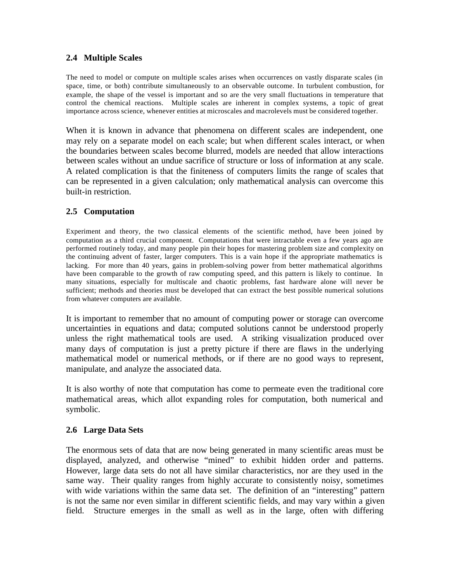# **2.4 Multiple Scales**

The need to model or compute on multiple scales arises when occurrences on vastly disparate scales (in space, time, or both) contribute simultaneously to an observable outcome. In turbulent combustion, for example, the shape of the vessel is important and so are the very small fluctuations in temperature that control the chemical reactions. Multiple scales are inherent in complex systems, a topic of great importance across science, whenever entities at microscales and macrolevels must be considered together.

When it is known in advance that phenomena on different scales are independent, one may rely on a separate model on each scale; but when different scales interact, or when the boundaries between scales become blurred, models are needed that allow interactions between scales without an undue sacrifice of structure or loss of information at any scale. A related complication is that the finiteness of computers limits the range of scales that can be represented in a given calculation; only mathematical analysis can overcome this built-in restriction.

# **2.5 Computation**

Experiment and theory, the two classical elements of the scientific method, have been joined by computation as a third crucial component. Computations that were intractable even a few years ago are performed routinely today, and many people pin their hopes for mastering problem size and complexity on the continuing advent of faster, larger computers. This is a vain hope if the appropriate mathematics is lacking. For more than 40 years, gains in problem-solving power from better mathematical algorithms have been comparable to the growth of raw computing speed, and this pattern is likely to continue. In many situations, especially for multiscale and chaotic problems, fast hardware alone will never be sufficient; methods and theories must be developed that can extract the best possible numerical solutions from whatever computers are available.

It is important to remember that no amount of computing power or storage can overcome uncertainties in equations and data; computed solutions cannot be understood properly unless the right mathematical tools are used. A striking visualization produced over many days of computation is just a pretty picture if there are flaws in the underlying mathematical model or numerical methods, or if there are no good ways to represent, manipulate, and analyze the associated data.

It is also worthy of note that computation has come to permeate even the traditional core mathematical areas, which allot expanding roles for computation, both numerical and symbolic.

### **2.6 Large Data Sets**

The enormous sets of data that are now being generated in many scientific areas must be displayed, analyzed, and otherwise "mined" to exhibit hidden order and patterns. However, large data sets do not all have similar characteristics, nor are they used in the same way. Their quality ranges from highly accurate to consistently noisy, sometimes with wide variations within the same data set. The definition of an "interesting" pattern is not the same nor even similar in different scientific fields, and may vary within a given field. Structure emerges in the small as well as in the large, often with differing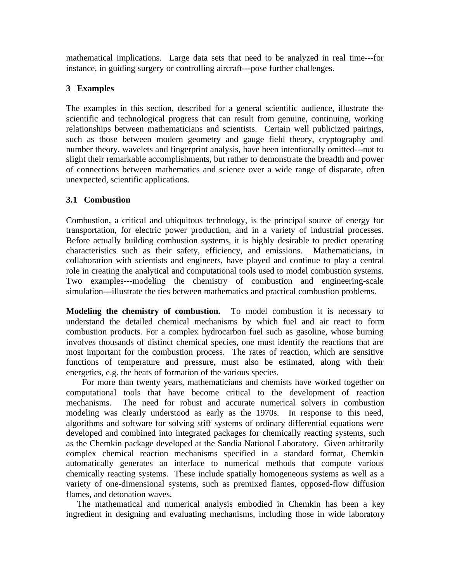mathematical implications. Large data sets that need to be analyzed in real time---for instance, in guiding surgery or controlling aircraft---pose further challenges.

# **3 Examples**

The examples in this section, described for a general scientific audience, illustrate the scientific and technological progress that can result from genuine, continuing, working relationships between mathematicians and scientists. Certain well publicized pairings, such as those between modern geometry and gauge field theory, cryptography and number theory, wavelets and fingerprint analysis, have been intentionally omitted---not to slight their remarkable accomplishments, but rather to demonstrate the breadth and power of connections between mathematics and science over a wide range of disparate, often unexpected, scientific applications.

# **3.1 Combustion**

Combustion, a critical and ubiquitous technology, is the principal source of energy for transportation, for electric power production, and in a variety of industrial processes. Before actually building combustion systems, it is highly desirable to predict operating characteristics such as their safety, efficiency, and emissions. Mathematicians, in collaboration with scientists and engineers, have played and continue to play a central role in creating the analytical and computational tools used to model combustion systems. Two examples---modeling the chemistry of combustion and engineering-scale simulation---illustrate the ties between mathematics and practical combustion problems.

**Modeling the chemistry of combustion.** To model combustion it is necessary to understand the detailed chemical mechanisms by which fuel and air react to form combustion products. For a complex hydrocarbon fuel such as gasoline, whose burning involves thousands of distinct chemical species, one must identify the reactions that are most important for the combustion process. The rates of reaction, which are sensitive functions of temperature and pressure, must also be estimated, along with their energetics, e.g. the heats of formation of the various species.

 For more than twenty years, mathematicians and chemists have worked together on computational tools that have become critical to the development of reaction mechanisms. The need for robust and accurate numerical solvers in combustion modeling was clearly understood as early as the 1970s. In response to this need, algorithms and software for solving stiff systems of ordinary differential equations were developed and combined into integrated packages for chemically reacting systems, such as the Chemkin package developed at the Sandia National Laboratory. Given arbitrarily complex chemical reaction mechanisms specified in a standard format, Chemkin automatically generates an interface to numerical methods that compute various chemically reacting systems. These include spatially homogeneous systems as well as a variety of one-dimensional systems, such as premixed flames, opposed-flow diffusion flames, and detonation waves.

 The mathematical and numerical analysis embodied in Chemkin has been a key ingredient in designing and evaluating mechanisms, including those in wide laboratory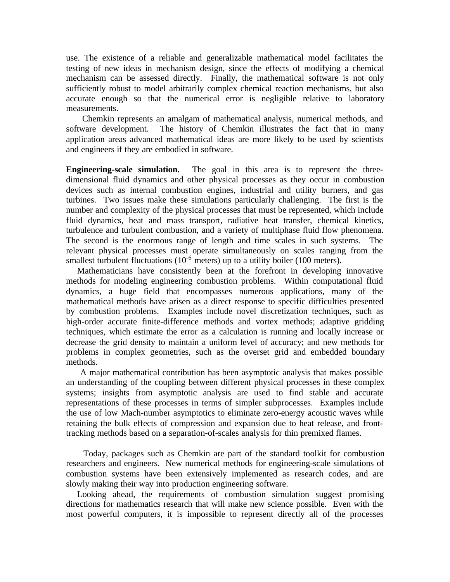use. The existence of a reliable and generalizable mathematical model facilitates the testing of new ideas in mechanism design, since the effects of modifying a chemical mechanism can be assessed directly. Finally, the mathematical software is not only sufficiently robust to model arbitrarily complex chemical reaction mechanisms, but also accurate enough so that the numerical error is negligible relative to laboratory measurements.

 Chemkin represents an amalgam of mathematical analysis, numerical methods, and software development. The history of Chemkin illustrates the fact that in many application areas advanced mathematical ideas are more likely to be used by scientists and engineers if they are embodied in software.

**Engineering-scale simulation.** The goal in this area is to represent the threedimensional fluid dynamics and other physical processes as they occur in combustion devices such as internal combustion engines, industrial and utility burners, and gas turbines. Two issues make these simulations particularly challenging. The first is the number and complexity of the physical processes that must be represented, which include fluid dynamics, heat and mass transport, radiative heat transfer, chemical kinetics, turbulence and turbulent combustion, and a variety of multiphase fluid flow phenomena. The second is the enormous range of length and time scales in such systems. The relevant physical processes must operate simultaneously on scales ranging from the smallest turbulent fluctuations  $(10^{-6} \text{ meters})$  up to a utility boiler  $(100 \text{ meters})$ .

 Mathematicians have consistently been at the forefront in developing innovative methods for modeling engineering combustion problems. Within computational fluid dynamics, a huge field that encompasses numerous applications, many of the mathematical methods have arisen as a direct response to specific difficulties presented by combustion problems. Examples include novel discretization techniques, such as high-order accurate finite-difference methods and vortex methods; adaptive gridding techniques, which estimate the error as a calculation is running and locally increase or decrease the grid density to maintain a uniform level of accuracy; and new methods for problems in complex geometries, such as the overset grid and embedded boundary methods.

 A major mathematical contribution has been asymptotic analysis that makes possible an understanding of the coupling between different physical processes in these complex systems; insights from asymptotic analysis are used to find stable and accurate representations of these processes in terms of simpler subprocesses. Examples include the use of low Mach-number asymptotics to eliminate zero-energy acoustic waves while retaining the bulk effects of compression and expansion due to heat release, and fronttracking methods based on a separation-of-scales analysis for thin premixed flames.

 Today, packages such as Chemkin are part of the standard toolkit for combustion researchers and engineers. New numerical methods for engineering-scale simulations of combustion systems have been extensively implemented as research codes, and are slowly making their way into production engineering software.

 Looking ahead, the requirements of combustion simulation suggest promising directions for mathematics research that will make new science possible. Even with the most powerful computers, it is impossible to represent directly all of the processes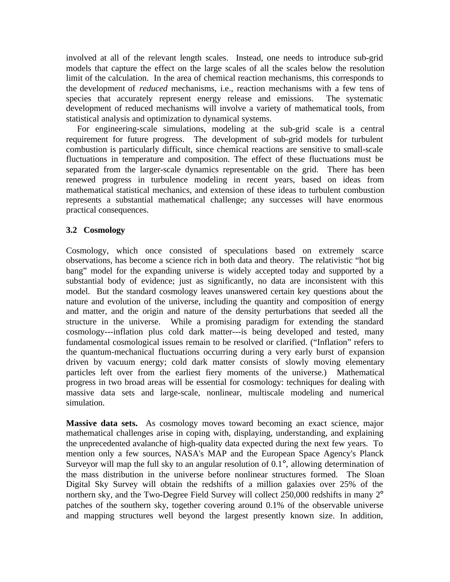involved at all of the relevant length scales. Instead, one needs to introduce sub-grid models that capture the effect on the large scales of all the scales below the resolution limit of the calculation. In the area of chemical reaction mechanisms, this corresponds to the development of *reduced* mechanisms, i.e., reaction mechanisms with a few tens of species that accurately represent energy release and emissions. The systematic development of reduced mechanisms will involve a variety of mathematical tools, from statistical analysis and optimization to dynamical systems.

 For engineering-scale simulations, modeling at the sub-grid scale is a central requirement for future progress. The development of sub-grid models for turbulent combustion is particularly difficult, since chemical reactions are sensitive to small-scale fluctuations in temperature and composition. The effect of these fluctuations must be separated from the larger-scale dynamics representable on the grid. There has been renewed progress in turbulence modeling in recent years, based on ideas from mathematical statistical mechanics, and extension of these ideas to turbulent combustion represents a substantial mathematical challenge; any successes will have enormous practical consequences.

# **3.2 Cosmology**

Cosmology, which once consisted of speculations based on extremely scarce observations, has become a science rich in both data and theory. The relativistic "hot big bang" model for the expanding universe is widely accepted today and supported by a substantial body of evidence; just as significantly, no data are inconsistent with this model. But the standard cosmology leaves unanswered certain key questions about the nature and evolution of the universe, including the quantity and composition of energy and matter, and the origin and nature of the density perturbations that seeded all the structure in the universe. While a promising paradigm for extending the standard cosmology---inflation plus cold dark matter---is being developed and tested, many fundamental cosmological issues remain to be resolved or clarified. ("Inflation" refers to the quantum-mechanical fluctuations occurring during a very early burst of expansion driven by vacuum energy; cold dark matter consists of slowly moving elementary particles left over from the earliest fiery moments of the universe.) Mathematical progress in two broad areas will be essential for cosmology: techniques for dealing with massive data sets and large-scale, nonlinear, multiscale modeling and numerical simulation.

**Massive data sets.** As cosmology moves toward becoming an exact science, major mathematical challenges arise in coping with, displaying, understanding, and explaining the unprecedented avalanche of high-quality data expected during the next few years. To mention only a few sources, NASA's MAP and the European Space Agency's Planck Surveyor will map the full sky to an angular resolution of 0.1°, allowing determination of the mass distribution in the universe before nonlinear structures formed. The Sloan Digital Sky Survey will obtain the redshifts of a million galaxies over 25% of the northern sky, and the Two-Degree Field Survey will collect 250,000 redshifts in many 2<sup>°</sup> patches of the southern sky, together covering around 0.1% of the observable universe and mapping structures well beyond the largest presently known size. In addition,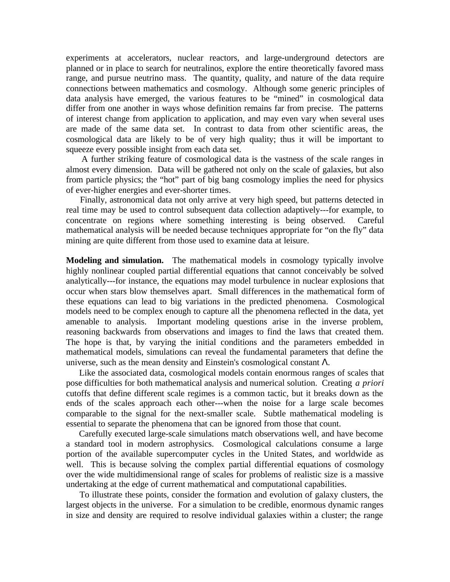experiments at accelerators, nuclear reactors, and large-underground detectors are planned or in place to search for neutralinos, explore the entire theoretically favored mass range, and pursue neutrino mass. The quantity, quality, and nature of the data require connections between mathematics and cosmology. Although some generic principles of data analysis have emerged, the various features to be "mined" in cosmological data differ from one another in ways whose definition remains far from precise. The patterns of interest change from application to application, and may even vary when several uses are made of the same data set. In contrast to data from other scientific areas, the cosmological data are likely to be of very high quality; thus it will be important to squeeze every possible insight from each data set.

 A further striking feature of cosmological data is the vastness of the scale ranges in almost every dimension. Data will be gathered not only on the scale of galaxies, but also from particle physics; the "hot" part of big bang cosmology implies the need for physics of ever-higher energies and ever-shorter times.

 Finally, astronomical data not only arrive at very high speed, but patterns detected in real time may be used to control subsequent data collection adaptively---for example, to concentrate on regions where something interesting is being observed. Careful mathematical analysis will be needed because techniques appropriate for "on the fly" data mining are quite different from those used to examine data at leisure.

**Modeling and simulation.** The mathematical models in cosmology typically involve highly nonlinear coupled partial differential equations that cannot conceivably be solved analytically---for instance, the equations may model turbulence in nuclear explosions that occur when stars blow themselves apart. Small differences in the mathematical form of these equations can lead to big variations in the predicted phenomena. Cosmological models need to be complex enough to capture all the phenomena reflected in the data, yet amenable to analysis. Important modeling questions arise in the inverse problem, reasoning backwards from observations and images to find the laws that created them. The hope is that, by varying the initial conditions and the parameters embedded in mathematical models, simulations can reveal the fundamental parameters that define the universe, such as the mean density and Einstein's cosmological constant  $\Lambda$ .

 Like the associated data, cosmological models contain enormous ranges of scales that pose difficulties for both mathematical analysis and numerical solution. Creating *a priori* cutoffs that define different scale regimes is a common tactic, but it breaks down as the ends of the scales approach each other---when the noise for a large scale becomes comparable to the signal for the next-smaller scale. Subtle mathematical modeling is essential to separate the phenomena that can be ignored from those that count.

 Carefully executed large-scale simulations match observations well, and have become a standard tool in modern astrophysics. Cosmological calculations consume a large portion of the available supercomputer cycles in the United States, and worldwide as well. This is because solving the complex partial differential equations of cosmology over the wide multidimensional range of scales for problems of realistic size is a massive undertaking at the edge of current mathematical and computational capabilities.

 To illustrate these points, consider the formation and evolution of galaxy clusters, the largest objects in the universe. For a simulation to be credible, enormous dynamic ranges in size and density are required to resolve individual galaxies within a cluster; the range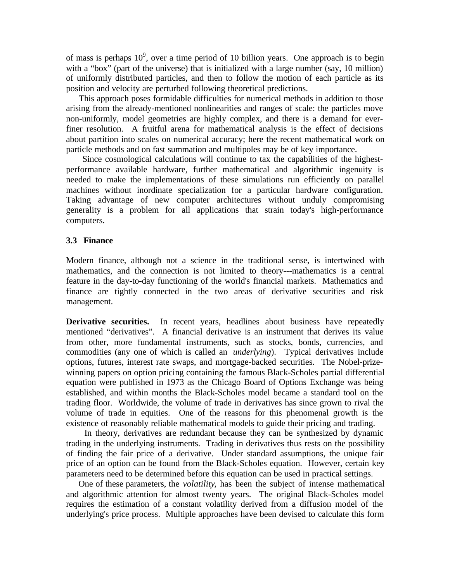of mass is perhaps  $10^9$ , over a time period of 10 billion years. One approach is to begin with a "box" (part of the universe) that is initialized with a large number (say, 10 million) of uniformly distributed particles, and then to follow the motion of each particle as its position and velocity are perturbed following theoretical predictions.

 This approach poses formidable difficulties for numerical methods in addition to those arising from the already-mentioned nonlinearities and ranges of scale: the particles move non-uniformly, model geometries are highly complex, and there is a demand for everfiner resolution. A fruitful arena for mathematical analysis is the effect of decisions about partition into scales on numerical accuracy; here the recent mathematical work on particle methods and on fast summation and multipoles may be of key importance.

 Since cosmological calculations will continue to tax the capabilities of the highestperformance available hardware, further mathematical and algorithmic ingenuity is needed to make the implementations of these simulations run efficiently on parallel machines without inordinate specialization for a particular hardware configuration. Taking advantage of new computer architectures without unduly compromising generality is a problem for all applications that strain today's high-performance computers.

### **3.3 Finance**

Modern finance, although not a science in the traditional sense, is intertwined with mathematics, and the connection is not limited to theory---mathematics is a central feature in the day-to-day functioning of the world's financial markets. Mathematics and finance are tightly connected in the two areas of derivative securities and risk management.

**Derivative securities.** In recent years, headlines about business have repeatedly mentioned "derivatives". A financial derivative is an instrument that derives its value from other, more fundamental instruments, such as stocks, bonds, currencies, and commodities (any one of which is called an *underlying*). Typical derivatives include options, futures, interest rate swaps, and mortgage-backed securities. The Nobel-prizewinning papers on option pricing containing the famous Black-Scholes partial differential equation were published in 1973 as the Chicago Board of Options Exchange was being established, and within months the Black-Scholes model became a standard tool on the trading floor. Worldwide, the volume of trade in derivatives has since grown to rival the volume of trade in equities. One of the reasons for this phenomenal growth is the existence of reasonably reliable mathematical models to guide their pricing and trading.

 In theory, derivatives are redundant because they can be synthesized by dynamic trading in the underlying instruments. Trading in derivatives thus rests on the possibility of finding the fair price of a derivative. Under standard assumptions, the unique fair price of an option can be found from the Black-Scholes equation. However, certain key parameters need to be determined before this equation can be used in practical settings.

 One of these parameters, the *volatility*, has been the subject of intense mathematical and algorithmic attention for almost twenty years. The original Black-Scholes model requires the estimation of a constant volatility derived from a diffusion model of the underlying's price process. Multiple approaches have been devised to calculate this form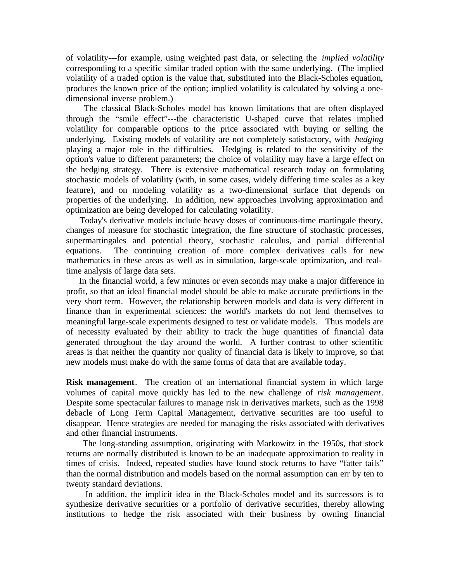of volatility---for example, using weighted past data, or selecting the *implied volatility* corresponding to a specific similar traded option with the same underlying. (The implied volatility of a traded option is the value that, substituted into the Black-Scholes equation, produces the known price of the option; implied volatility is calculated by solving a onedimensional inverse problem.)

 The classical Black-Scholes model has known limitations that are often displayed through the "smile effect"---the characteristic U-shaped curve that relates implied volatility for comparable options to the price associated with buying or selling the underlying. Existing models of volatility are not completely satisfactory, with *hedging* playing a major role in the difficulties. Hedging is related to the sensitivity of the option's value to different parameters; the choice of volatility may have a large effect on the hedging strategy. There is extensive mathematical research today on formulating stochastic models of volatility (with, in some cases, widely differing time scales as a key feature), and on modeling volatility as a two-dimensional surface that depends on properties of the underlying. In addition, new approaches involving approximation and optimization are being developed for calculating volatility.

 Today's derivative models include heavy doses of continuous-time martingale theory, changes of measure for stochastic integration, the fine structure of stochastic processes, supermartingales and potential theory, stochastic calculus, and partial differential equations. The continuing creation of more complex derivatives calls for new mathematics in these areas as well as in simulation, large-scale optimization, and realtime analysis of large data sets.

 In the financial world, a few minutes or even seconds may make a major difference in profit, so that an ideal financial model should be able to make accurate predictions in the very short term. However, the relationship between models and data is very different in finance than in experimental sciences: the world's markets do not lend themselves to meaningful large-scale experiments designed to test or validate models. Thus models are of necessity evaluated by their ability to track the huge quantities of financial data generated throughout the day around the world. A further contrast to other scientific areas is that neither the quantity nor quality of financial data is likely to improve, so that new models must make do with the same forms of data that are available today.

**Risk management**. The creation of an international financial system in which large volumes of capital move quickly has led to the new challenge of *risk management*. Despite some spectacular failures to manage risk in derivatives markets, such as the 1998 debacle of Long Term Capital Management, derivative securities are too useful to disappear. Hence strategies are needed for managing the risks associated with derivatives and other financial instruments.

 The long-standing assumption, originating with Markowitz in the 1950s, that stock returns are normally distributed is known to be an inadequate approximation to reality in times of crisis. Indeed, repeated studies have found stock returns to have "fatter tails" than the normal distribution and models based on the normal assumption can err by ten to twenty standard deviations.

 In addition, the implicit idea in the Black-Scholes model and its successors is to synthesize derivative securities or a portfolio of derivative securities, thereby allowing institutions to hedge the risk associated with their business by owning financial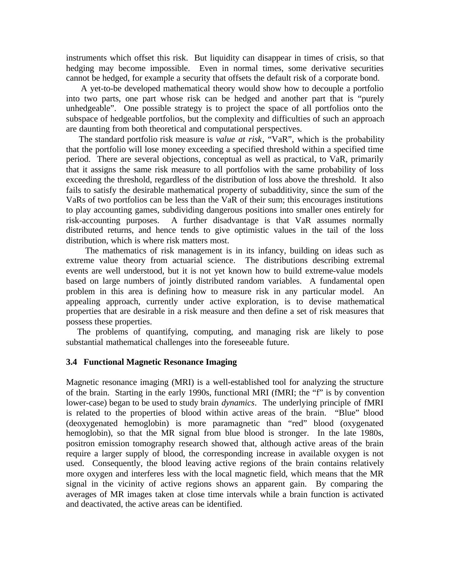instruments which offset this risk. But liquidity can disappear in times of crisis, so that hedging may become impossible. Even in normal times, some derivative securities cannot be hedged, for example a security that offsets the default risk of a corporate bond.

 A yet-to-be developed mathematical theory would show how to decouple a portfolio into two parts, one part whose risk can be hedged and another part that is "purely unhedgeable". One possible strategy is to project the space of all portfolios onto the subspace of hedgeable portfolios, but the complexity and difficulties of such an approach are daunting from both theoretical and computational perspectives.

 The standard portfolio risk measure is *value at risk*, "VaR", which is the probability that the portfolio will lose money exceeding a specified threshold within a specified time period. There are several objections, conceptual as well as practical, to VaR, primarily that it assigns the same risk measure to all portfolios with the same probability of loss exceeding the threshold, regardless of the distribution of loss above the threshold. It also fails to satisfy the desirable mathematical property of subadditivity, since the sum of the VaRs of two portfolios can be less than the VaR of their sum; this encourages institutions to play accounting games, subdividing dangerous positions into smaller ones entirely for risk-accounting purposes. A further disadvantage is that VaR assumes normally distributed returns, and hence tends to give optimistic values in the tail of the loss distribution, which is where risk matters most.

 The mathematics of risk management is in its infancy, building on ideas such as extreme value theory from actuarial science. The distributions describing extremal events are well understood, but it is not yet known how to build extreme-value models based on large numbers of jointly distributed random variables. A fundamental open problem in this area is defining how to measure risk in any particular model. An appealing approach, currently under active exploration, is to devise mathematical properties that are desirable in a risk measure and then define a set of risk measures that possess these properties.

 The problems of quantifying, computing, and managing risk are likely to pose substantial mathematical challenges into the foreseeable future.

### **3.4 Functional Magnetic Resonance Imaging**

Magnetic resonance imaging (MRI) is a well-established tool for analyzing the structure of the brain. Starting in the early 1990s, functional MRI (fMRI; the "f" is by convention lower-case) began to be used to study brain *dynamics*. The underlying principle of fMRI is related to the properties of blood within active areas of the brain. "Blue" blood (deoxygenated hemoglobin) is more paramagnetic than "red" blood (oxygenated hemoglobin), so that the MR signal from blue blood is stronger. In the late 1980s, positron emission tomography research showed that, although active areas of the brain require a larger supply of blood, the corresponding increase in available oxygen is not used. Consequently, the blood leaving active regions of the brain contains relatively more oxygen and interferes less with the local magnetic field, which means that the MR signal in the vicinity of active regions shows an apparent gain. By comparing the averages of MR images taken at close time intervals while a brain function is activated and deactivated, the active areas can be identified.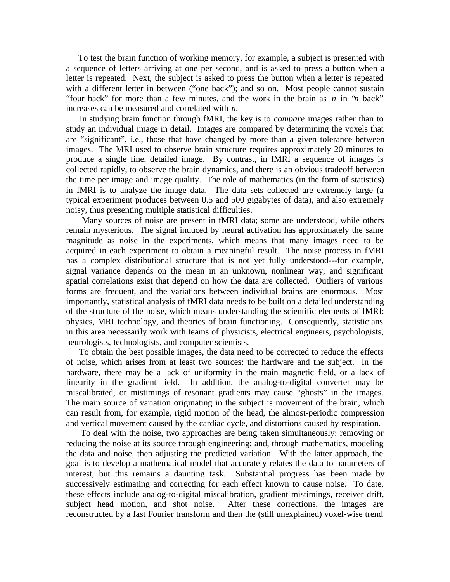To test the brain function of working memory, for example, a subject is presented with a sequence of letters arriving at one per second, and is asked to press a button when a letter is repeated. Next, the subject is asked to press the button when a letter is repeated with a different letter in between ("one back"); and so on. Most people cannot sustain "four back" for more than a few minutes, and the work in the brain as *n* in "*n* back" increases can be measured and correlated with *n*.

 In studying brain function through fMRI, the key is to *compare* images rather than to study an individual image in detail. Images are compared by determining the voxels that are "significant", i.e., those that have changed by more than a given tolerance between images. The MRI used to observe brain structure requires approximately 20 minutes to produce a single fine, detailed image. By contrast, in fMRI a sequence of images is collected rapidly, to observe the brain dynamics, and there is an obvious tradeoff between the time per image and image quality. The role of mathematics (in the form of statistics) in fMRI is to analyze the image data. The data sets collected are extremely large (a typical experiment produces between 0.5 and 500 gigabytes of data), and also extremely noisy, thus presenting multiple statistical difficulties.

 Many sources of noise are present in fMRI data; some are understood, while others remain mysterious. The signal induced by neural activation has approximately the same magnitude as noise in the experiments, which means that many images need to be acquired in each experiment to obtain a meaningful result. The noise process in fMRI has a complex distributional structure that is not yet fully understood---for example, signal variance depends on the mean in an unknown, nonlinear way, and significant spatial correlations exist that depend on how the data are collected. Outliers of various forms are frequent, and the variations between individual brains are enormous. Most importantly, statistical analysis of fMRI data needs to be built on a detailed understanding of the structure of the noise, which means understanding the scientific elements of fMRI: physics, MRI technology, and theories of brain functioning. Consequently, statisticians in this area necessarily work with teams of physicists, electrical engineers, psychologists, neurologists, technologists, and computer scientists.

 To obtain the best possible images, the data need to be corrected to reduce the effects of noise, which arises from at least two sources: the hardware and the subject. In the hardware, there may be a lack of uniformity in the main magnetic field, or a lack of linearity in the gradient field. In addition, the analog-to-digital converter may be miscalibrated, or mistimings of resonant gradients may cause "ghosts" in the images. The main source of variation originating in the subject is movement of the brain, which can result from, for example, rigid motion of the head, the almost-periodic compression and vertical movement caused by the cardiac cycle, and distortions caused by respiration.

 To deal with the noise, two approaches are being taken simultaneously: removing or reducing the noise at its source through engineering; and, through mathematics, modeling the data and noise, then adjusting the predicted variation. With the latter approach, the goal is to develop a mathematical model that accurately relates the data to parameters of interest, but this remains a daunting task. Substantial progress has been made by successively estimating and correcting for each effect known to cause noise. To date, these effects include analog-to-digital miscalibration, gradient mistimings, receiver drift, subject head motion, and shot noise. After these corrections, the images are reconstructed by a fast Fourier transform and then the (still unexplained) voxel-wise trend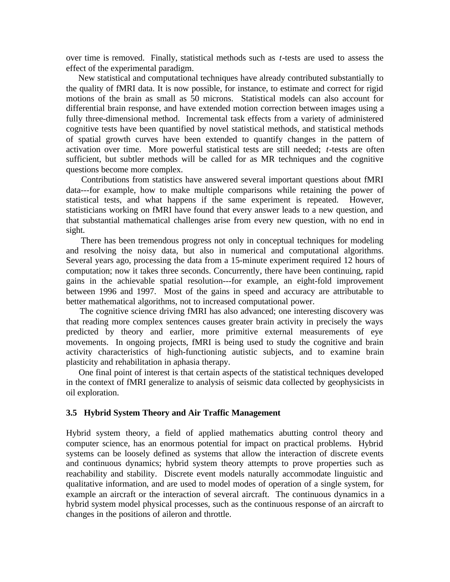over time is removed. Finally, statistical methods such as *t*-tests are used to assess the effect of the experimental paradigm.

 New statistical and computational techniques have already contributed substantially to the quality of fMRI data. It is now possible, for instance, to estimate and correct for rigid motions of the brain as small as 50 microns. Statistical models can also account for differential brain response, and have extended motion correction between images using a fully three-dimensional method. Incremental task effects from a variety of administered cognitive tests have been quantified by novel statistical methods, and statistical methods of spatial growth curves have been extended to quantify changes in the pattern of activation over time. More powerful statistical tests are still needed; *t*-tests are often sufficient, but subtler methods will be called for as MR techniques and the cognitive questions become more complex.

 Contributions from statistics have answered several important questions about fMRI data---for example, how to make multiple comparisons while retaining the power of statistical tests, and what happens if the same experiment is repeated. However, statisticians working on fMRI have found that every answer leads to a new question, and that substantial mathematical challenges arise from every new question, with no end in sight.

 There has been tremendous progress not only in conceptual techniques for modeling and resolving the noisy data, but also in numerical and computational algorithms. Several years ago, processing the data from a 15-minute experiment required 12 hours of computation; now it takes three seconds. Concurrently, there have been continuing, rapid gains in the achievable spatial resolution---for example, an eight-fold improvement between 1996 and 1997. Most of the gains in speed and accuracy are attributable to better mathematical algorithms, not to increased computational power.

 The cognitive science driving fMRI has also advanced; one interesting discovery was that reading more complex sentences causes greater brain activity in precisely the ways predicted by theory and earlier, more primitive external measurements of eye movements. In ongoing projects, fMRI is being used to study the cognitive and brain activity characteristics of high-functioning autistic subjects, and to examine brain plasticity and rehabilitation in aphasia therapy.

 One final point of interest is that certain aspects of the statistical techniques developed in the context of fMRI generalize to analysis of seismic data collected by geophysicists in oil exploration.

### **3.5 Hybrid System Theory and Air Traffic Management**

Hybrid system theory, a field of applied mathematics abutting control theory and computer science, has an enormous potential for impact on practical problems. Hybrid systems can be loosely defined as systems that allow the interaction of discrete events and continuous dynamics; hybrid system theory attempts to prove properties such as reachability and stability. Discrete event models naturally accommodate linguistic and qualitative information, and are used to model modes of operation of a single system, for example an aircraft or the interaction of several aircraft. The continuous dynamics in a hybrid system model physical processes, such as the continuous response of an aircraft to changes in the positions of aileron and throttle.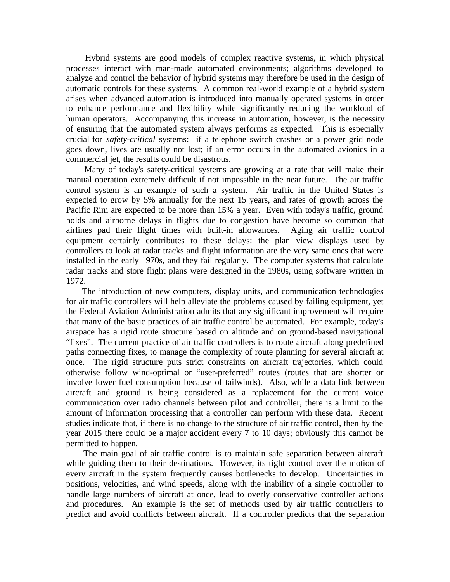Hybrid systems are good models of complex reactive systems, in which physical processes interact with man-made automated environments; algorithms developed to analyze and control the behavior of hybrid systems may therefore be used in the design of automatic controls for these systems. A common real-world example of a hybrid system arises when advanced automation is introduced into manually operated systems in order to enhance performance and flexibility while significantly reducing the workload of human operators. Accompanying this increase in automation, however, is the necessity of ensuring that the automated system always performs as expected. This is especially crucial for *safety-critical* systems: if a telephone switch crashes or a power grid node goes down, lives are usually not lost; if an error occurs in the automated avionics in a commercial jet, the results could be disastrous.

 Many of today's safety-critical systems are growing at a rate that will make their manual operation extremely difficult if not impossible in the near future. The air traffic control system is an example of such a system. Air traffic in the United States is expected to grow by 5% annually for the next 15 years, and rates of growth across the Pacific Rim are expected to be more than 15% a year. Even with today's traffic, ground holds and airborne delays in flights due to congestion have become so common that airlines pad their flight times with built-in allowances. Aging air traffic control equipment certainly contributes to these delays: the plan view displays used by controllers to look at radar tracks and flight information are the very same ones that were installed in the early 1970s, and they fail regularly. The computer systems that calculate radar tracks and store flight plans were designed in the 1980s, using software written in 1972.

 The introduction of new computers, display units, and communication technologies for air traffic controllers will help alleviate the problems caused by failing equipment, yet the Federal Aviation Administration admits that any significant improvement will require that many of the basic practices of air traffic control be automated. For example, today's airspace has a rigid route structure based on altitude and on ground-based navigational "fixes". The current practice of air traffic controllers is to route aircraft along predefined paths connecting fixes, to manage the complexity of route planning for several aircraft at once. The rigid structure puts strict constraints on aircraft trajectories, which could otherwise follow wind-optimal or "user-preferred" routes (routes that are shorter or involve lower fuel consumption because of tailwinds). Also, while a data link between aircraft and ground is being considered as a replacement for the current voice communication over radio channels between pilot and controller, there is a limit to the amount of information processing that a controller can perform with these data. Recent studies indicate that, if there is no change to the structure of air traffic control, then by the year 2015 there could be a major accident every 7 to 10 days; obviously this cannot be permitted to happen.

 The main goal of air traffic control is to maintain safe separation between aircraft while guiding them to their destinations. However, its tight control over the motion of every aircraft in the system frequently causes bottlenecks to develop. Uncertainties in positions, velocities, and wind speeds, along with the inability of a single controller to handle large numbers of aircraft at once, lead to overly conservative controller actions and procedures. An example is the set of methods used by air traffic controllers to predict and avoid conflicts between aircraft. If a controller predicts that the separation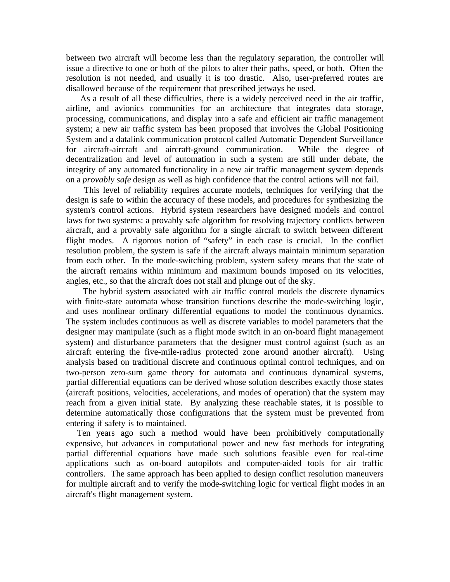between two aircraft will become less than the regulatory separation, the controller will issue a directive to one or both of the pilots to alter their paths, speed, or both. Often the resolution is not needed, and usually it is too drastic. Also, user-preferred routes are disallowed because of the requirement that prescribed jetways be used.

 As a result of all these difficulties, there is a widely perceived need in the air traffic, airline, and avionics communities for an architecture that integrates data storage, processing, communications, and display into a safe and efficient air traffic management system; a new air traffic system has been proposed that involves the Global Positioning System and a datalink communication protocol called Automatic Dependent Surveillance<br>for aircraft-aircraft and aircraft-ground communication. While the degree of for aircraft-aircraft and aircraft-ground communication. decentralization and level of automation in such a system are still under debate, the integrity of any automated functionality in a new air traffic management system depends on a *provably safe* design as well as high confidence that the control actions will not fail.

 This level of reliability requires accurate models, techniques for verifying that the design is safe to within the accuracy of these models, and procedures for synthesizing the system's control actions. Hybrid system researchers have designed models and control laws for two systems: a provably safe algorithm for resolving trajectory conflicts between aircraft, and a provably safe algorithm for a single aircraft to switch between different flight modes. A rigorous notion of "safety" in each case is crucial. In the conflict resolution problem, the system is safe if the aircraft always maintain minimum separation from each other. In the mode-switching problem, system safety means that the state of the aircraft remains within minimum and maximum bounds imposed on its velocities, angles, etc., so that the aircraft does not stall and plunge out of the sky.

 The hybrid system associated with air traffic control models the discrete dynamics with finite-state automata whose transition functions describe the mode-switching logic, and uses nonlinear ordinary differential equations to model the continuous dynamics. The system includes continuous as well as discrete variables to model parameters that the designer may manipulate (such as a flight mode switch in an on-board flight management system) and disturbance parameters that the designer must control against (such as an aircraft entering the five-mile-radius protected zone around another aircraft). Using analysis based on traditional discrete and continuous optimal control techniques, and on two-person zero-sum game theory for automata and continuous dynamical systems, partial differential equations can be derived whose solution describes exactly those states (aircraft positions, velocities, accelerations, and modes of operation) that the system may reach from a given initial state. By analyzing these reachable states, it is possible to determine automatically those configurations that the system must be prevented from entering if safety is to maintained.

 Ten years ago such a method would have been prohibitively computationally expensive, but advances in computational power and new fast methods for integrating partial differential equations have made such solutions feasible even for real-time applications such as on-board autopilots and computer-aided tools for air traffic controllers. The same approach has been applied to design conflict resolution maneuvers for multiple aircraft and to verify the mode-switching logic for vertical flight modes in an aircraft's flight management system.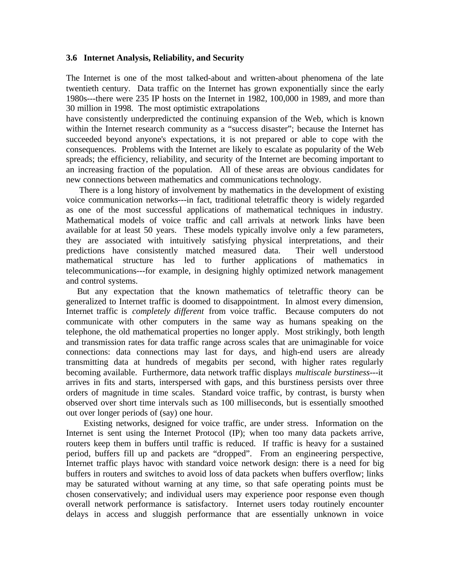### **3.6 Internet Analysis, Reliability, and Security**

The Internet is one of the most talked-about and written-about phenomena of the late twentieth century. Data traffic on the Internet has grown exponentially since the early 1980s---there were 235 IP hosts on the Internet in 1982, 100,000 in 1989, and more than 30 million in 1998. The most optimistic extrapolations

have consistently underpredicted the continuing expansion of the Web, which is known within the Internet research community as a "success disaster"; because the Internet has succeeded beyond anyone's expectations, it is not prepared or able to cope with the consequences. Problems with the Internet are likely to escalate as popularity of the Web spreads; the efficiency, reliability, and security of the Internet are becoming important to an increasing fraction of the population. All of these areas are obvious candidates for new connections between mathematics and communications technology.

 There is a long history of involvement by mathematics in the development of existing voice communication networks---in fact, traditional teletraffic theory is widely regarded as one of the most successful applications of mathematical techniques in industry. Mathematical models of voice traffic and call arrivals at network links have been available for at least 50 years. These models typically involve only a few parameters, they are associated with intuitively satisfying physical interpretations, and their predictions have consistently matched measured data. Their well understood mathematical structure has led to further applications of mathematics in telecommunications---for example, in designing highly optimized network management and control systems.

 But any expectation that the known mathematics of teletraffic theory can be generalized to Internet traffic is doomed to disappointment. In almost every dimension, Internet traffic is *completely different* from voice traffic. Because computers do not communicate with other computers in the same way as humans speaking on the telephone, the old mathematical properties no longer apply. Most strikingly, both length and transmission rates for data traffic range across scales that are unimaginable for voice connections: data connections may last for days, and high-end users are already transmitting data at hundreds of megabits per second, with higher rates regularly becoming available. Furthermore, data network traffic displays *multiscale burstiness*---it arrives in fits and starts, interspersed with gaps, and this burstiness persists over three orders of magnitude in time scales. Standard voice traffic, by contrast, is bursty when observed over short time intervals such as 100 milliseconds, but is essentially smoothed out over longer periods of (say) one hour.

 Existing networks, designed for voice traffic, are under stress. Information on the Internet is sent using the Internet Protocol (IP); when too many data packets arrive, routers keep them in buffers until traffic is reduced. If traffic is heavy for a sustained period, buffers fill up and packets are "dropped". From an engineering perspective, Internet traffic plays havoc with standard voice network design: there is a need for big buffers in routers and switches to avoid loss of data packets when buffers overflow; links may be saturated without warning at any time, so that safe operating points must be chosen conservatively; and individual users may experience poor response even though overall network performance is satisfactory. Internet users today routinely encounter delays in access and sluggish performance that are essentially unknown in voice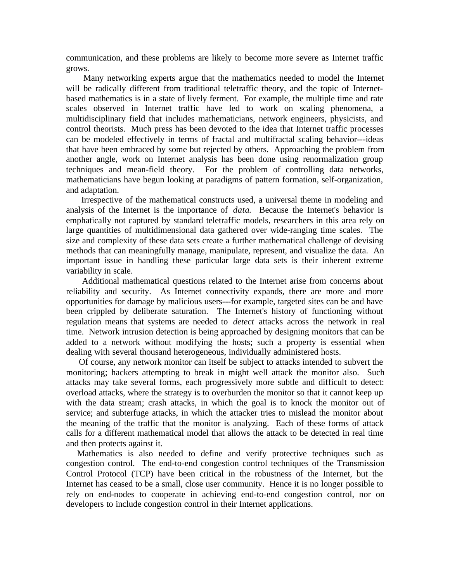communication, and these problems are likely to become more severe as Internet traffic grows.

 Many networking experts argue that the mathematics needed to model the Internet will be radically different from traditional teletraffic theory, and the topic of Internetbased mathematics is in a state of lively ferment. For example, the multiple time and rate scales observed in Internet traffic have led to work on scaling phenomena, a multidisciplinary field that includes mathematicians, network engineers, physicists, and control theorists. Much press has been devoted to the idea that Internet traffic processes can be modeled effectively in terms of fractal and multifractal scaling behavior---ideas that have been embraced by some but rejected by others. Approaching the problem from another angle, work on Internet analysis has been done using renormalization group techniques and mean-field theory. For the problem of controlling data networks, mathematicians have begun looking at paradigms of pattern formation, self-organization, and adaptation.

 Irrespective of the mathematical constructs used, a universal theme in modeling and analysis of the Internet is the importance of *data*. Because the Internet's behavior is emphatically not captured by standard teletraffic models, researchers in this area rely on large quantities of multidimensional data gathered over wide-ranging time scales. The size and complexity of these data sets create a further mathematical challenge of devising methods that can meaningfully manage, manipulate, represent, and visualize the data. An important issue in handling these particular large data sets is their inherent extreme variability in scale.

 Additional mathematical questions related to the Internet arise from concerns about reliability and security. As Internet connectivity expands, there are more and more opportunities for damage by malicious users---for example, targeted sites can be and have been crippled by deliberate saturation. The Internet's history of functioning without regulation means that systems are needed to *detect* attacks across the network in real time. Network intrusion detection is being approached by designing monitors that can be added to a network without modifying the hosts; such a property is essential when dealing with several thousand heterogeneous, individually administered hosts.

 Of course, any network monitor can itself be subject to attacks intended to subvert the monitoring; hackers attempting to break in might well attack the monitor also. Such attacks may take several forms, each progressively more subtle and difficult to detect: overload attacks, where the strategy is to overburden the monitor so that it cannot keep up with the data stream; crash attacks, in which the goal is to knock the monitor out of service; and subterfuge attacks, in which the attacker tries to mislead the monitor about the meaning of the traffic that the monitor is analyzing. Each of these forms of attack calls for a different mathematical model that allows the attack to be detected in real time and then protects against it.

 Mathematics is also needed to define and verify protective techniques such as congestion control. The end-to-end congestion control techniques of the Transmission Control Protocol (TCP) have been critical in the robustness of the Internet, but the Internet has ceased to be a small, close user community. Hence it is no longer possible to rely on end-nodes to cooperate in achieving end-to-end congestion control, nor on developers to include congestion control in their Internet applications.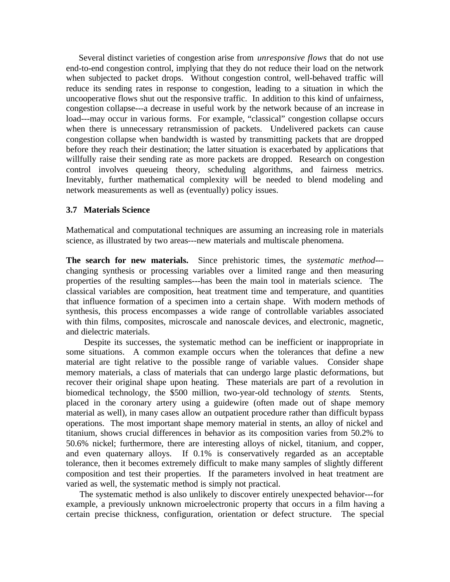Several distinct varieties of congestion arise from *unresponsive flows* that do not use end-to-end congestion control, implying that they do not reduce their load on the network when subjected to packet drops. Without congestion control, well-behaved traffic will reduce its sending rates in response to congestion, leading to a situation in which the uncooperative flows shut out the responsive traffic. In addition to this kind of unfairness, congestion collapse---a decrease in useful work by the network because of an increase in load---may occur in various forms. For example, "classical" congestion collapse occurs when there is unnecessary retransmission of packets. Undelivered packets can cause congestion collapse when bandwidth is wasted by transmitting packets that are dropped before they reach their destination; the latter situation is exacerbated by applications that willfully raise their sending rate as more packets are dropped. Research on congestion control involves queueing theory, scheduling algorithms, and fairness metrics. Inevitably, further mathematical complexity will be needed to blend modeling and network measurements as well as (eventually) policy issues.

### **3.7 Materials Science**

Mathematical and computational techniques are assuming an increasing role in materials science, as illustrated by two areas---new materials and multiscale phenomena.

**The search for new materials.** Since prehistoric times, the *systematic method*-- changing synthesis or processing variables over a limited range and then measuring properties of the resulting samples---has been the main tool in materials science. The classical variables are composition, heat treatment time and temperature, and quantities that influence formation of a specimen into a certain shape. With modern methods of synthesis, this process encompasses a wide range of controllable variables associated with thin films, composites, microscale and nanoscale devices, and electronic, magnetic, and dielectric materials.

 Despite its successes, the systematic method can be inefficient or inappropriate in some situations. A common example occurs when the tolerances that define a new material are tight relative to the possible range of variable values. Consider shape memory materials, a class of materials that can undergo large plastic deformations, but recover their original shape upon heating. These materials are part of a revolution in biomedical technology, the \$500 million, two-year-old technology of *stents*. Stents, placed in the coronary artery using a guidewire (often made out of shape memory material as well), in many cases allow an outpatient procedure rather than difficult bypass operations. The most important shape memory material in stents, an alloy of nickel and titanium, shows crucial differences in behavior as its composition varies from 50.2% to 50.6% nickel; furthermore, there are interesting alloys of nickel, titanium, and copper, and even quaternary alloys. If 0.1% is conservatively regarded as an acceptable tolerance, then it becomes extremely difficult to make many samples of slightly different composition and test their properties. If the parameters involved in heat treatment are varied as well, the systematic method is simply not practical.

 The systematic method is also unlikely to discover entirely unexpected behavior---for example, a previously unknown microelectronic property that occurs in a film having a certain precise thickness, configuration, orientation or defect structure. The special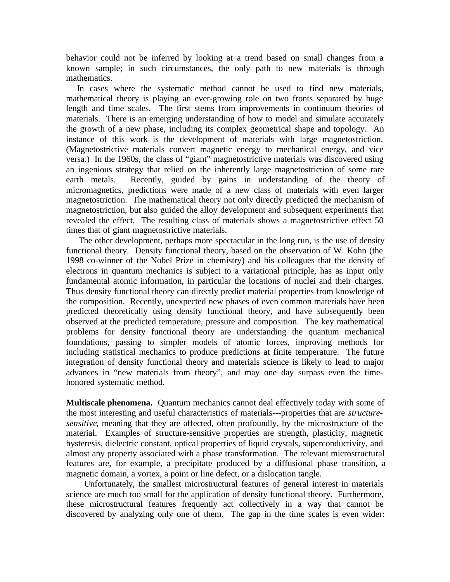behavior could not be inferred by looking at a trend based on small changes from a known sample; in such circumstances, the only path to new materials is through mathematics.

 In cases where the systematic method cannot be used to find new materials, mathematical theory is playing an ever-growing role on two fronts separated by huge length and time scales. The first stems from improvements in continuum theories of materials. There is an emerging understanding of how to model and simulate accurately the growth of a new phase, including its complex geometrical shape and topology. An instance of this work is the development of materials with large magnetostriction. (Magnetostrictive materials convert magnetic energy to mechanical energy, and vice versa.) In the 1960s, the class of "giant" magnetostrictive materials was discovered using an ingenious strategy that relied on the inherently large magnetostriction of some rare earth metals. Recently, guided by gains in understanding of the theory of micromagnetics, predictions were made of a new class of materials with even larger magnetostriction. The mathematical theory not only directly predicted the mechanism of magnetostriction, but also guided the alloy development and subsequent experiments that revealed the effect. The resulting class of materials shows a magnetostrictive effect 50 times that of giant magnetostrictive materials.

 The other development, perhaps more spectacular in the long run, is the use of density functional theory. Density functional theory, based on the observation of W. Kohn (the 1998 co-winner of the Nobel Prize in chemistry) and his colleagues that the density of electrons in quantum mechanics is subject to a variational principle, has as input only fundamental atomic information, in particular the locations of nuclei and their charges. Thus density functional theory can directly predict material properties from knowledge of the composition. Recently, unexpected new phases of even common materials have been predicted theoretically using density functional theory, and have subsequently been observed at the predicted temperature, pressure and composition. The key mathematical problems for density functional theory are understanding the quantum mechanical foundations, passing to simpler models of atomic forces, improving methods for including statistical mechanics to produce predictions at finite temperature. The future integration of density functional theory and materials science is likely to lead to major advances in "new materials from theory", and may one day surpass even the timehonored systematic method.

**Multiscale phenomena.** Quantum mechanics cannot deal effectively today with some of the most interesting and useful characteristics of materials---properties that are *structuresensitive*, meaning that they are affected, often profoundly, by the microstructure of the material. Examples of structure-sensitive properties are strength, plasticity, magnetic hysteresis, dielectric constant, optical properties of liquid crystals, superconductivity, and almost any property associated with a phase transformation. The relevant microstructural features are, for example, a precipitate produced by a diffusional phase transition, a magnetic domain, a vortex, a point or line defect, or a dislocation tangle.

 Unfortunately, the smallest microstructural features of general interest in materials science are much too small for the application of density functional theory. Furthermore, these microstructural features frequently act collectively in a way that cannot be discovered by analyzing only one of them. The gap in the time scales is even wider: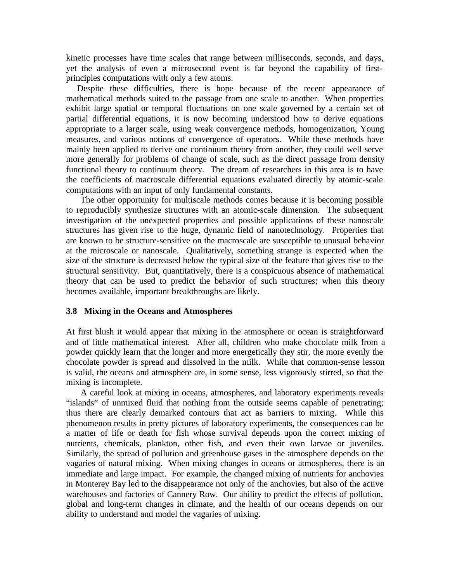kinetic processes have time scales that range between milliseconds, seconds, and days, yet the analysis of even a microsecond event is far beyond the capability of firstprinciples computations with only a few atoms.

 Despite these difficulties, there is hope because of the recent appearance of mathematical methods suited to the passage from one scale to another. When properties exhibit large spatial or temporal fluctuations on one scale governed by a certain set of partial differential equations, it is now becoming understood how to derive equations appropriate to a larger scale, using weak convergence methods, homogenization, Young measures, and various notions of convergence of operators. While these methods have mainly been applied to derive one continuum theory from another, they could well serve more generally for problems of change of scale, such as the direct passage from density functional theory to continuum theory. The dream of researchers in this area is to have the coefficients of macroscale differential equations evaluated directly by atomic-scale computations with an input of only fundamental constants.

 The other opportunity for multiscale methods comes because it is becoming possible to reproducibly synthesize structures with an atomic-scale dimension. The subsequent investigation of the unexpected properties and possible applications of these nanoscale structures has given rise to the huge, dynamic field of nanotechnology. Properties that are known to be structure-sensitive on the macroscale are susceptible to unusual behavior at the microscale or nanoscale. Qualitatively, something strange is expected when the size of the structure is decreased below the typical size of the feature that gives rise to the structural sensitivity. But, quantitatively, there is a conspicuous absence of mathematical theory that can be used to predict the behavior of such structures; when this theory becomes available, important breakthroughs are likely.

### **3.8 Mixing in the Oceans and Atmospheres**

At first blush it would appear that mixing in the atmosphere or ocean is straightforward and of little mathematical interest. After all, children who make chocolate milk from a powder quickly learn that the longer and more energetically they stir, the more evenly the chocolate powder is spread and dissolved in the milk. While that common-sense lesson is valid, the oceans and atmosphere are, in some sense, less vigorously stirred, so that the mixing is incomplete.

 A careful look at mixing in oceans, atmospheres, and laboratory experiments reveals "islands" of unmixed fluid that nothing from the outside seems capable of penetrating; thus there are clearly demarked contours that act as barriers to mixing. While this phenomenon results in pretty pictures of laboratory experiments, the consequences can be a matter of life or death for fish whose survival depends upon the correct mixing of nutrients, chemicals, plankton, other fish, and even their own larvae or juveniles. Similarly, the spread of pollution and greenhouse gases in the atmosphere depends on the vagaries of natural mixing. When mixing changes in oceans or atmospheres, there is an immediate and large impact. For example, the changed mixing of nutrients for anchovies in Monterey Bay led to the disappearance not only of the anchovies, but also of the active warehouses and factories of Cannery Row. Our ability to predict the effects of pollution, global and long-term changes in climate, and the health of our oceans depends on our ability to understand and model the vagaries of mixing.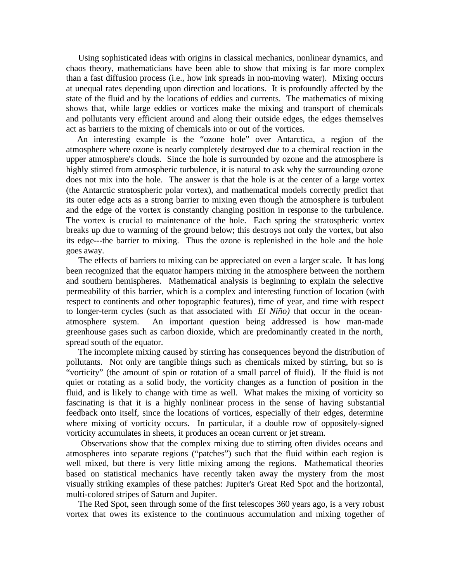Using sophisticated ideas with origins in classical mechanics, nonlinear dynamics, and chaos theory, mathematicians have been able to show that mixing is far more complex than a fast diffusion process (i.e., how ink spreads in non-moving water). Mixing occurs at unequal rates depending upon direction and locations. It is profoundly affected by the state of the fluid and by the locations of eddies and currents. The mathematics of mixing shows that, while large eddies or vortices make the mixing and transport of chemicals and pollutants very efficient around and along their outside edges, the edges themselves act as barriers to the mixing of chemicals into or out of the vortices.

 An interesting example is the "ozone hole" over Antarctica, a region of the atmosphere where ozone is nearly completely destroyed due to a chemical reaction in the upper atmosphere's clouds. Since the hole is surrounded by ozone and the atmosphere is highly stirred from atmospheric turbulence, it is natural to ask why the surrounding ozone does not mix into the hole. The answer is that the hole is at the center of a large vortex (the Antarctic stratospheric polar vortex), and mathematical models correctly predict that its outer edge acts as a strong barrier to mixing even though the atmosphere is turbulent and the edge of the vortex is constantly changing position in response to the turbulence. The vortex is crucial to maintenance of the hole. Each spring the stratospheric vortex breaks up due to warming of the ground below; this destroys not only the vortex, but also its edge---the barrier to mixing. Thus the ozone is replenished in the hole and the hole goes away.

 The effects of barriers to mixing can be appreciated on even a larger scale. It has long been recognized that the equator hampers mixing in the atmosphere between the northern and southern hemispheres. Mathematical analysis is beginning to explain the selective permeability of this barrier, which is a complex and interesting function of location (with respect to continents and other topographic features), time of year, and time with respect to longer-term cycles (such as that associated with *El Niño)* that occur in the oceanatmosphere system. An important question being addressed is how man-made greenhouse gases such as carbon dioxide, which are predominantly created in the north, spread south of the equator.

 The incomplete mixing caused by stirring has consequences beyond the distribution of pollutants. Not only are tangible things such as chemicals mixed by stirring, but so is "vorticity" (the amount of spin or rotation of a small parcel of fluid). If the fluid is not quiet or rotating as a solid body, the vorticity changes as a function of position in the fluid, and is likely to change with time as well. What makes the mixing of vorticity so fascinating is that it is a highly nonlinear process in the sense of having substantial feedback onto itself, since the locations of vortices, especially of their edges, determine where mixing of vorticity occurs. In particular, if a double row of oppositely-signed vorticity accumulates in sheets, it produces an ocean current or jet stream.

 Observations show that the complex mixing due to stirring often divides oceans and atmospheres into separate regions ("patches") such that the fluid within each region is well mixed, but there is very little mixing among the regions. Mathematical theories based on statistical mechanics have recently taken away the mystery from the most visually striking examples of these patches: Jupiter's Great Red Spot and the horizontal, multi-colored stripes of Saturn and Jupiter.

 The Red Spot, seen through some of the first telescopes 360 years ago, is a very robust vortex that owes its existence to the continuous accumulation and mixing together of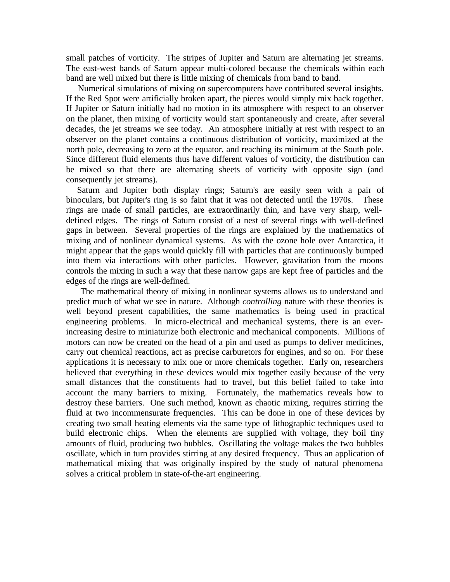small patches of vorticity. The stripes of Jupiter and Saturn are alternating jet streams. The east-west bands of Saturn appear multi-colored because the chemicals within each band are well mixed but there is little mixing of chemicals from band to band.

 Numerical simulations of mixing on supercomputers have contributed several insights. If the Red Spot were artificially broken apart, the pieces would simply mix back together. If Jupiter or Saturn initially had no motion in its atmosphere with respect to an observer on the planet, then mixing of vorticity would start spontaneously and create, after several decades, the jet streams we see today. An atmosphere initially at rest with respect to an observer on the planet contains a continuous distribution of vorticity, maximized at the north pole, decreasing to zero at the equator, and reaching its minimum at the South pole. Since different fluid elements thus have different values of vorticity, the distribution can be mixed so that there are alternating sheets of vorticity with opposite sign (and consequently jet streams).

 Saturn and Jupiter both display rings; Saturn's are easily seen with a pair of binoculars, but Jupiter's ring is so faint that it was not detected until the 1970s. These rings are made of small particles, are extraordinarily thin, and have very sharp, welldefined edges. The rings of Saturn consist of a nest of several rings with well-defined gaps in between. Several properties of the rings are explained by the mathematics of mixing and of nonlinear dynamical systems. As with the ozone hole over Antarctica, it might appear that the gaps would quickly fill with particles that are continuously bumped into them via interactions with other particles. However, gravitation from the moons controls the mixing in such a way that these narrow gaps are kept free of particles and the edges of the rings are well-defined.

 The mathematical theory of mixing in nonlinear systems allows us to understand and predict much of what we see in nature. Although *controlling* nature with these theories is well beyond present capabilities, the same mathematics is being used in practical engineering problems. In micro-electrical and mechanical systems, there is an everincreasing desire to miniaturize both electronic and mechanical components. Millions of motors can now be created on the head of a pin and used as pumps to deliver medicines, carry out chemical reactions, act as precise carburetors for engines, and so on. For these applications it is necessary to mix one or more chemicals together. Early on, researchers believed that everything in these devices would mix together easily because of the very small distances that the constituents had to travel, but this belief failed to take into account the many barriers to mixing. Fortunately, the mathematics reveals how to destroy these barriers. One such method, known as chaotic mixing, requires stirring the fluid at two incommensurate frequencies. This can be done in one of these devices by creating two small heating elements via the same type of lithographic techniques used to build electronic chips. When the elements are supplied with voltage, they boil tiny amounts of fluid, producing two bubbles. Oscillating the voltage makes the two bubbles oscillate, which in turn provides stirring at any desired frequency. Thus an application of mathematical mixing that was originally inspired by the study of natural phenomena solves a critical problem in state-of-the-art engineering.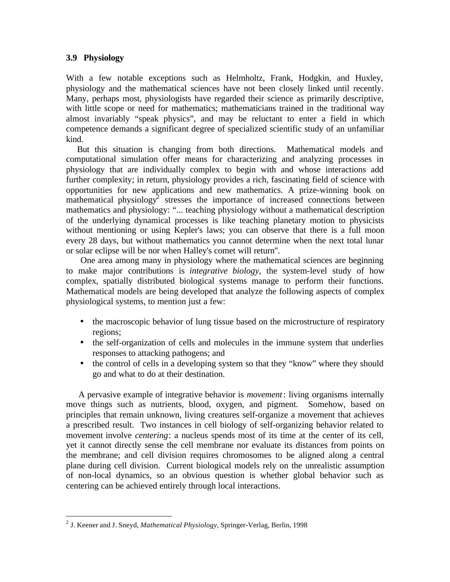# **3.9 Physiology**

 $\overline{a}$ 

With a few notable exceptions such as Helmholtz, Frank, Hodgkin, and Huxley, physiology and the mathematical sciences have not been closely linked until recently. Many, perhaps most, physiologists have regarded their science as primarily descriptive, with little scope or need for mathematics; mathematicians trained in the traditional way almost invariably "speak physics", and may be reluctant to enter a field in which competence demands a significant degree of specialized scientific study of an unfamiliar kind.

 But this situation is changing from both directions. Mathematical models and computational simulation offer means for characterizing and analyzing processes in physiology that are individually complex to begin with and whose interactions add further complexity; in return, physiology provides a rich, fascinating field of science with opportunities for new applications and new mathematics. A prize-winning book on mathematical physiology<sup>2</sup> stresses the importance of increased connections between mathematics and physiology: "... teaching physiology without a mathematical description of the underlying dynamical processes is like teaching planetary motion to physicists without mentioning or using Kepler's laws; you can observe that there is a full moon every 28 days, but without mathematics you cannot determine when the next total lunar or solar eclipse will be nor when Halley's comet will return''.

 One area among many in physiology where the mathematical sciences are beginning to make major contributions is *integrative biology*, the system-level study of how complex, spatially distributed biological systems manage to perform their functions. Mathematical models are being developed that analyze the following aspects of complex physiological systems, to mention just a few:

- the macroscopic behavior of lung tissue based on the microstructure of respiratory regions;
- the self-organization of cells and molecules in the immune system that underlies responses to attacking pathogens; and
- the control of cells in a developing system so that they "know" where they should go and what to do at their destination.

 A pervasive example of integrative behavior is *movement*: living organisms internally move things such as nutrients, blood, oxygen, and pigment. Somehow, based on principles that remain unknown, living creatures self-organize a movement that achieves a prescribed result. Two instances in cell biology of self-organizing behavior related to movement involve *centering*: a nucleus spends most of its time at the center of its cell, yet it cannot directly sense the cell membrane nor evaluate its distances from points on the membrane; and cell division requires chromosomes to be aligned along a central plane during cell division. Current biological models rely on the unrealistic assumption of non-local dynamics, so an obvious question is whether global behavior such as centering can be achieved entirely through local interactions.

<sup>2</sup> J. Keener and J. Sneyd, *Mathematical Physiology*, Springer-Verlag, Berlin, 1998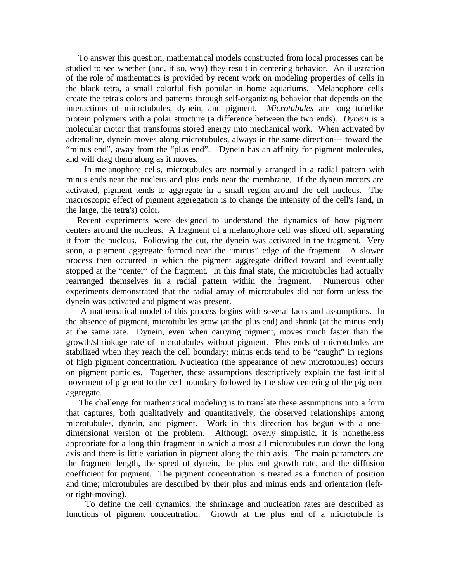To answer this question, mathematical models constructed from local processes can be studied to see whether (and, if so, why) they result in centering behavior. An illustration of the role of mathematics is provided by recent work on modeling properties of cells in the black tetra, a small colorful fish popular in home aquariums. Melanophore cells create the tetra's colors and patterns through self-organizing behavior that depends on the interactions of microtubules, dynein, and pigment. *Microtubules* are long tubelike protein polymers with a polar structure (a difference between the two ends). *Dynein* is a molecular motor that transforms stored energy into mechanical work. When activated by adrenaline, dynein moves along microtubules, always in the same direction--- toward the "minus end", away from the "plus end". Dynein has an affinity for pigment molecules, and will drag them along as it moves.

 In melanophore cells, microtubules are normally arranged in a radial pattern with minus ends near the nucleus and plus ends near the membrane. If the dynein motors are activated, pigment tends to aggregate in a small region around the cell nucleus. The macroscopic effect of pigment aggregation is to change the intensity of the cell's (and, in the large, the tetra's) color.

 Recent experiments were designed to understand the dynamics of how pigment centers around the nucleus. A fragment of a melanophore cell was sliced off, separating it from the nucleus. Following the cut, the dynein was activated in the fragment. Very soon, a pigment aggregate formed near the "minus" edge of the fragment. A slower process then occurred in which the pigment aggregate drifted toward and eventually stopped at the "center" of the fragment. In this final state, the microtubules had actually rearranged themselves in a radial pattern within the fragment. Numerous other experiments demonstrated that the radial array of microtubules did not form unless the dynein was activated and pigment was present.

 A mathematical model of this process begins with several facts and assumptions. In the absence of pigment, microtubules grow (at the plus end) and shrink (at the minus end) at the same rate. Dynein, even when carrying pigment, moves much faster than the growth/shrinkage rate of microtubules without pigment. Plus ends of microtubules are stabilized when they reach the cell boundary; minus ends tend to be "caught" in regions of high pigment concentration. Nucleation (the appearance of new microtubules) occurs on pigment particles. Together, these assumptions descriptively explain the fast initial movement of pigment to the cell boundary followed by the slow centering of the pigment aggregate.

 The challenge for mathematical modeling is to translate these assumptions into a form that captures, both qualitatively and quantitatively, the observed relationships among microtubules, dynein, and pigment. Work in this direction has begun with a onedimensional version of the problem. Although overly simplistic, it is nonetheless appropriate for a long thin fragment in which almost all microtubules run down the long axis and there is little variation in pigment along the thin axis. The main parameters are the fragment length, the speed of dynein, the plus end growth rate, and the diffusion coefficient for pigment. The pigment concentration is treated as a function of position and time; microtubules are described by their plus and minus ends and orientation (leftor right-moving).

 To define the cell dynamics, the shrinkage and nucleation rates are described as functions of pigment concentration. Growth at the plus end of a microtubule is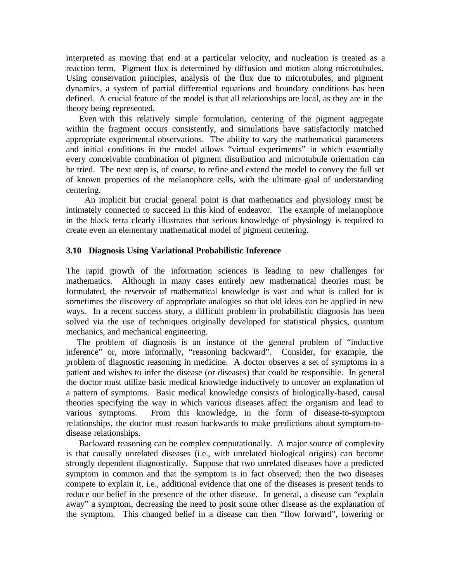interpreted as moving that end at a particular velocity, and nucleation is treated as a reaction term. Pigment flux is determined by diffusion and motion along microtubules. Using conservation principles, analysis of the flux due to microtubules, and pigment dynamics, a system of partial differential equations and boundary conditions has been defined. A crucial feature of the model is that all relationships are local, as they are in the theory being represented.

 Even with this relatively simple formulation, centering of the pigment aggregate within the fragment occurs consistently, and simulations have satisfactorily matched appropriate experimental observations. The ability to vary the mathematical parameters and initial conditions in the model allows "virtual experiments" in which essentially every conceivable combination of pigment distribution and microtubule orientation can be tried. The next step is, of course, to refine and extend the model to convey the full set of known properties of the melanophore cells, with the ultimate goal of understanding centering.

 An implicit but crucial general point is that mathematics and physiology must be intimately connected to succeed in this kind of endeavor. The example of melanophore in the black tetra clearly illustrates that serious knowledge of physiology is required to create even an elementary mathematical model of pigment centering.

# **3.10 Diagnosis Using Variational Probabilistic Inference**

The rapid growth of the information sciences is leading to new challenges for mathematics. Although in many cases entirely new mathematical theories must be formulated, the reservoir of mathematical knowledge is vast and what is called for is sometimes the discovery of appropriate analogies so that old ideas can be applied in new ways. In a recent success story, a difficult problem in probabilistic diagnosis has been solved via the use of techniques originally developed for statistical physics, quantum mechanics, and mechanical engineering.

 The problem of diagnosis is an instance of the general problem of "inductive inference" or, more informally, "reasoning backward". Consider, for example, the problem of diagnostic reasoning in medicine. A doctor observes a set of symptoms in a patient and wishes to infer the disease (or diseases) that could be responsible. In general the doctor must utilize basic medical knowledge inductively to uncover an explanation of a pattern of symptoms. Basic medical knowledge consists of biologically-based, causal theories specifying the way in which various diseases affect the organism and lead to various symptoms. From this knowledge, in the form of disease-to-symptom relationships, the doctor must reason backwards to make predictions about symptom-todisease relationships.

 Backward reasoning can be complex computationally. A major source of complexity is that causally unrelated diseases (i.e., with unrelated biological origins) can become strongly dependent diagnostically. Suppose that two unrelated diseases have a predicted symptom in common and that the symptom is in fact observed; then the two diseases compete to explain it, i.e., additional evidence that one of the diseases is present tends to reduce our belief in the presence of the other disease. In general, a disease can "explain away" a symptom, decreasing the need to posit some other disease as the explanation of the symptom. This changed belief in a disease can then "flow forward", lowering or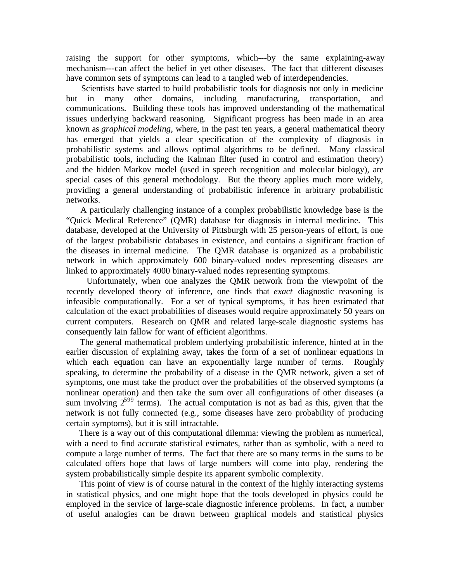raising the support for other symptoms, which---by the same explaining-away mechanism---can affect the belief in yet other diseases. The fact that different diseases have common sets of symptoms can lead to a tangled web of interdependencies.

 Scientists have started to build probabilistic tools for diagnosis not only in medicine but in many other domains, including manufacturing, transportation, and communications. Building these tools has improved understanding of the mathematical issues underlying backward reasoning. Significant progress has been made in an area known as *graphical modeling*, where, in the past ten years, a general mathematical theory has emerged that yields a clear specification of the complexity of diagnosis in probabilistic systems and allows optimal algorithms to be defined. Many classical probabilistic tools, including the Kalman filter (used in control and estimation theory) and the hidden Markov model (used in speech recognition and molecular biology), are special cases of this general methodology. But the theory applies much more widely, providing a general understanding of probabilistic inference in arbitrary probabilistic networks.

 A particularly challenging instance of a complex probabilistic knowledge base is the "Quick Medical Reference" (QMR) database for diagnosis in internal medicine. This database, developed at the University of Pittsburgh with 25 person-years of effort, is one of the largest probabilistic databases in existence, and contains a significant fraction of the diseases in internal medicine. The QMR database is organized as a probabilistic network in which approximately 600 binary-valued nodes representing diseases are linked to approximately 4000 binary-valued nodes representing symptoms.

 Unfortunately, when one analyzes the QMR network from the viewpoint of the recently developed theory of inference, one finds that *exact* diagnostic reasoning is infeasible computationally. For a set of typical symptoms, it has been estimated that calculation of the exact probabilities of diseases would require approximately 50 years on current computers. Research on QMR and related large-scale diagnostic systems has consequently lain fallow for want of efficient algorithms.

 The general mathematical problem underlying probabilistic inference, hinted at in the earlier discussion of explaining away, takes the form of a set of nonlinear equations in which each equation can have an exponentially large number of terms. Roughly speaking, to determine the probability of a disease in the QMR network, given a set of symptoms, one must take the product over the probabilities of the observed symptoms (a nonlinear operation) and then take the sum over all configurations of other diseases (a sum involving  $2^{599}$  terms). The actual computation is not as bad as this, given that the network is not fully connected (e.g., some diseases have zero probability of producing certain symptoms), but it is still intractable.

 There is a way out of this computational dilemma: viewing the problem as numerical, with a need to find accurate statistical estimates, rather than as symbolic, with a need to compute a large number of terms. The fact that there are so many terms in the sums to be calculated offers hope that laws of large numbers will come into play, rendering the system probabilistically simple despite its apparent symbolic complexity.

 This point of view is of course natural in the context of the highly interacting systems in statistical physics, and one might hope that the tools developed in physics could be employed in the service of large-scale diagnostic inference problems. In fact, a number of useful analogies can be drawn between graphical models and statistical physics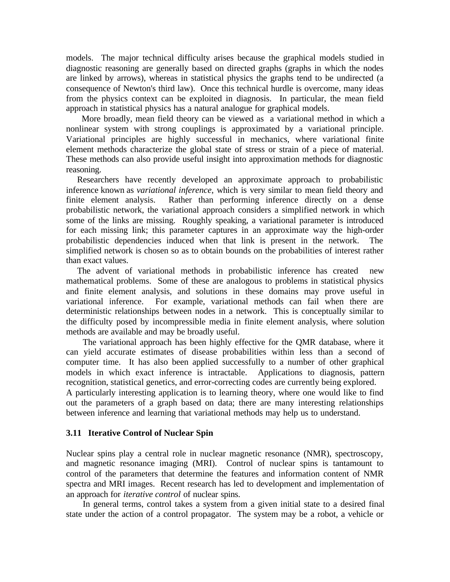models. The major technical difficulty arises because the graphical models studied in diagnostic reasoning are generally based on directed graphs (graphs in which the nodes are linked by arrows), whereas in statistical physics the graphs tend to be undirected (a consequence of Newton's third law). Once this technical hurdle is overcome, many ideas from the physics context can be exploited in diagnosis. In particular, the mean field approach in statistical physics has a natural analogue for graphical models.

 More broadly, mean field theory can be viewed as a variational method in which a nonlinear system with strong couplings is approximated by a variational principle. Variational principles are highly successful in mechanics, where variational finite element methods characterize the global state of stress or strain of a piece of material. These methods can also provide useful insight into approximation methods for diagnostic reasoning.

 Researchers have recently developed an approximate approach to probabilistic inference known as *variational inference*, which is very similar to mean field theory and finite element analysis. Rather than performing inference directly on a dense probabilistic network, the variational approach considers a simplified network in which some of the links are missing. Roughly speaking, a variational parameter is introduced for each missing link; this parameter captures in an approximate way the high-order probabilistic dependencies induced when that link is present in the network. The simplified network is chosen so as to obtain bounds on the probabilities of interest rather than exact values.

 The advent of variational methods in probabilistic inference has created new mathematical problems. Some of these are analogous to problems in statistical physics and finite element analysis, and solutions in these domains may prove useful in variational inference. For example, variational methods can fail when there are deterministic relationships between nodes in a network. This is conceptually similar to the difficulty posed by incompressible media in finite element analysis, where solution methods are available and may be broadly useful.

 The variational approach has been highly effective for the QMR database, where it can yield accurate estimates of disease probabilities within less than a second of computer time. It has also been applied successfully to a number of other graphical models in which exact inference is intractable. Applications to diagnosis, pattern recognition, statistical genetics, and error-correcting codes are currently being explored. A particularly interesting application is to learning theory, where one would like to find out the parameters of a graph based on data; there are many interesting relationships between inference and learning that variational methods may help us to understand.

### **3.11 Iterative Control of Nuclear Spin**

Nuclear spins play a central role in nuclear magnetic resonance (NMR), spectroscopy, and magnetic resonance imaging (MRI). Control of nuclear spins is tantamount to control of the parameters that determine the features and information content of NMR spectra and MRI images. Recent research has led to development and implementation of an approach for *iterative control* of nuclear spins.

 In general terms, control takes a system from a given initial state to a desired final state under the action of a control propagator. The system may be a robot, a vehicle or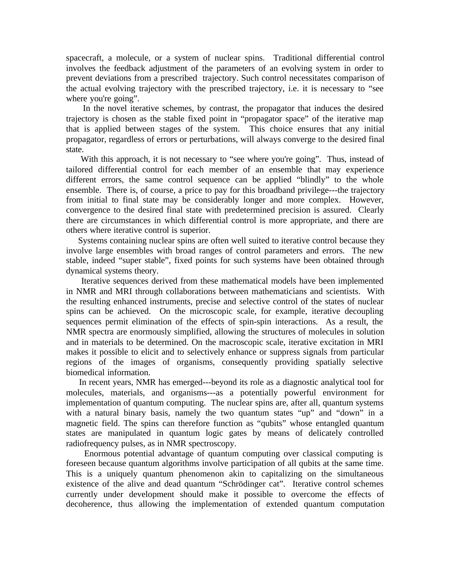spacecraft, a molecule, or a system of nuclear spins. Traditional differential control involves the feedback adjustment of the parameters of an evolving system in order to prevent deviations from a prescribed trajectory. Such control necessitates comparison of the actual evolving trajectory with the prescribed trajectory, i.e. it is necessary to "see where you're going".

 In the novel iterative schemes, by contrast, the propagator that induces the desired trajectory is chosen as the stable fixed point in "propagator space" of the iterative map that is applied between stages of the system. This choice ensures that any initial propagator, regardless of errors or perturbations, will always converge to the desired final state.

With this approach, it is not necessary to "see where you're going". Thus, instead of tailored differential control for each member of an ensemble that may experience different errors, the same control sequence can be applied "blindly" to the whole ensemble. There is, of course, a price to pay for this broadband privilege---the trajectory from initial to final state may be considerably longer and more complex. However, convergence to the desired final state with predetermined precision is assured. Clearly there are circumstances in which differential control is more appropriate, and there are others where iterative control is superior.

 Systems containing nuclear spins are often well suited to iterative control because they involve large ensembles with broad ranges of control parameters and errors. The new stable, indeed "super stable", fixed points for such systems have been obtained through dynamical systems theory.

 Iterative sequences derived from these mathematical models have been implemented in NMR and MRI through collaborations between mathematicians and scientists. With the resulting enhanced instruments, precise and selective control of the states of nuclear spins can be achieved. On the microscopic scale, for example, iterative decoupling sequences permit elimination of the effects of spin-spin interactions. As a result, the NMR spectra are enormously simplified, allowing the structures of molecules in solution and in materials to be determined. On the macroscopic scale, iterative excitation in MRI makes it possible to elicit and to selectively enhance or suppress signals from particular regions of the images of organisms, consequently providing spatially selective biomedical information.

 In recent years, NMR has emerged---beyond its role as a diagnostic analytical tool for molecules, materials, and organisms---as a potentially powerful environment for implementation of quantum computing. The nuclear spins are, after all, quantum systems with a natural binary basis, namely the two quantum states "up" and "down" in a magnetic field. The spins can therefore function as "qubits" whose entangled quantum states are manipulated in quantum logic gates by means of delicately controlled radiofrequency pulses, as in NMR spectroscopy.

 Enormous potential advantage of quantum computing over classical computing is foreseen because quantum algorithms involve participation of all qubits at the same time. This is a uniquely quantum phenomenon akin to capitalizing on the simultaneous existence of the alive and dead quantum "Schrödinger cat". Iterative control schemes currently under development should make it possible to overcome the effects of decoherence, thus allowing the implementation of extended quantum computation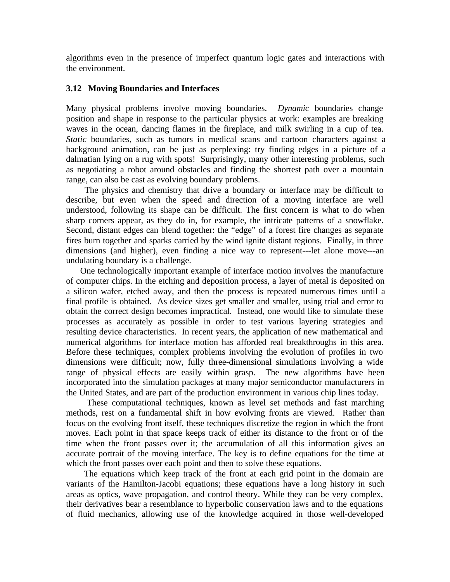algorithms even in the presence of imperfect quantum logic gates and interactions with the environment.

# **3.12 Moving Boundaries and Interfaces**

Many physical problems involve moving boundaries. *Dynamic* boundaries change position and shape in response to the particular physics at work: examples are breaking waves in the ocean, dancing flames in the fireplace, and milk swirling in a cup of tea. *Static* boundaries, such as tumors in medical scans and cartoon characters against a background animation, can be just as perplexing: try finding edges in a picture of a dalmatian lying on a rug with spots! Surprisingly, many other interesting problems, such as negotiating a robot around obstacles and finding the shortest path over a mountain range, can also be cast as evolving boundary problems.

 The physics and chemistry that drive a boundary or interface may be difficult to describe, but even when the speed and direction of a moving interface are well understood, following its shape can be difficult. The first concern is what to do when sharp corners appear, as they do in, for example, the intricate patterns of a snowflake. Second, distant edges can blend together: the "edge" of a forest fire changes as separate fires burn together and sparks carried by the wind ignite distant regions. Finally, in three dimensions (and higher), even finding a nice way to represent---let alone move---an undulating boundary is a challenge.

 One technologically important example of interface motion involves the manufacture of computer chips. In the etching and deposition process, a layer of metal is deposited on a silicon wafer, etched away, and then the process is repeated numerous times until a final profile is obtained. As device sizes get smaller and smaller, using trial and error to obtain the correct design becomes impractical. Instead, one would like to simulate these processes as accurately as possible in order to test various layering strategies and resulting device characteristics. In recent years, the application of new mathematical and numerical algorithms for interface motion has afforded real breakthroughs in this area. Before these techniques, complex problems involving the evolution of profiles in two dimensions were difficult; now, fully three-dimensional simulations involving a wide range of physical effects are easily within grasp. The new algorithms have been incorporated into the simulation packages at many major semiconductor manufacturers in the United States, and are part of the production environment in various chip lines today.

 These computational techniques, known as level set methods and fast marching methods, rest on a fundamental shift in how evolving fronts are viewed. Rather than focus on the evolving front itself, these techniques discretize the region in which the front moves. Each point in that space keeps track of either its distance to the front or of the time when the front passes over it; the accumulation of all this information gives an accurate portrait of the moving interface. The key is to define equations for the time at which the front passes over each point and then to solve these equations.

 The equations which keep track of the front at each grid point in the domain are variants of the Hamilton-Jacobi equations; these equations have a long history in such areas as optics, wave propagation, and control theory. While they can be very complex, their derivatives bear a resemblance to hyperbolic conservation laws and to the equations of fluid mechanics, allowing use of the knowledge acquired in those well-developed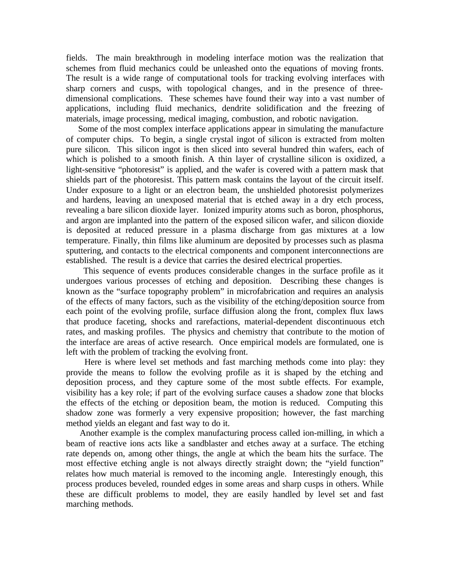fields. The main breakthrough in modeling interface motion was the realization that schemes from fluid mechanics could be unleashed onto the equations of moving fronts. The result is a wide range of computational tools for tracking evolving interfaces with sharp corners and cusps, with topological changes, and in the presence of threedimensional complications. These schemes have found their way into a vast number of applications, including fluid mechanics, dendrite solidification and the freezing of materials, image processing, medical imaging, combustion, and robotic navigation.

 Some of the most complex interface applications appear in simulating the manufacture of computer chips. To begin, a single crystal ingot of silicon is extracted from molten pure silicon. This silicon ingot is then sliced into several hundred thin wafers, each of which is polished to a smooth finish. A thin layer of crystalline silicon is oxidized, a light-sensitive "photoresist" is applied, and the wafer is covered with a pattern mask that shields part of the photoresist. This pattern mask contains the layout of the circuit itself. Under exposure to a light or an electron beam, the unshielded photoresist polymerizes and hardens, leaving an unexposed material that is etched away in a dry etch process, revealing a bare silicon dioxide layer. Ionized impurity atoms such as boron, phosphorus, and argon are implanted into the pattern of the exposed silicon wafer, and silicon dioxide is deposited at reduced pressure in a plasma discharge from gas mixtures at a low temperature. Finally, thin films like aluminum are deposited by processes such as plasma sputtering, and contacts to the electrical components and component interconnections are established. The result is a device that carries the desired electrical properties.

 This sequence of events produces considerable changes in the surface profile as it undergoes various processes of etching and deposition. Describing these changes is known as the "surface topography problem" in microfabrication and requires an analysis of the effects of many factors, such as the visibility of the etching/deposition source from each point of the evolving profile, surface diffusion along the front, complex flux laws that produce faceting, shocks and rarefactions, material-dependent discontinuous etch rates, and masking profiles. The physics and chemistry that contribute to the motion of the interface are areas of active research. Once empirical models are formulated, one is left with the problem of tracking the evolving front.

 Here is where level set methods and fast marching methods come into play: they provide the means to follow the evolving profile as it is shaped by the etching and deposition process, and they capture some of the most subtle effects. For example, visibility has a key role; if part of the evolving surface causes a shadow zone that blocks the effects of the etching or deposition beam, the motion is reduced. Computing this shadow zone was formerly a very expensive proposition; however, the fast marching method yields an elegant and fast way to do it.

 Another example is the complex manufacturing process called ion-milling, in which a beam of reactive ions acts like a sandblaster and etches away at a surface. The etching rate depends on, among other things, the angle at which the beam hits the surface. The most effective etching angle is not always directly straight down; the "yield function" relates how much material is removed to the incoming angle. Interestingly enough, this process produces beveled, rounded edges in some areas and sharp cusps in others. While these are difficult problems to model, they are easily handled by level set and fast marching methods.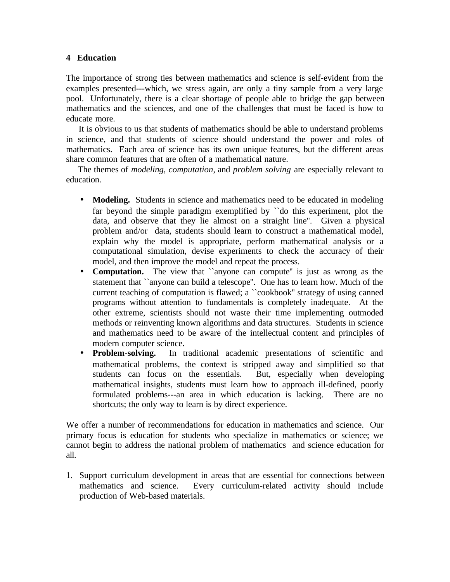### **4 Education**

The importance of strong ties between mathematics and science is self-evident from the examples presented---which, we stress again, are only a tiny sample from a very large pool. Unfortunately, there is a clear shortage of people able to bridge the gap between mathematics and the sciences, and one of the challenges that must be faced is how to educate more.

 It is obvious to us that students of mathematics should be able to understand problems in science, and that students of science should understand the power and roles of mathematics. Each area of science has its own unique features, but the different areas share common features that are often of a mathematical nature.

 The themes of *modeling*, *computation*, and *problem solving* are especially relevant to education.

- **Modeling.** Students in science and mathematics need to be educated in modeling far beyond the simple paradigm exemplified by ``do this experiment, plot the data, and observe that they lie almost on a straight line''. Given a physical problem and/or data, students should learn to construct a mathematical model, explain why the model is appropriate, perform mathematical analysis or a computational simulation, devise experiments to check the accuracy of their model, and then improve the model and repeat the process.
- **Computation.** The view that "anyone can compute" is just as wrong as the statement that ``anyone can build a telescope''. One has to learn how. Much of the current teaching of computation is flawed; a ``cookbook'' strategy of using canned programs without attention to fundamentals is completely inadequate. At the other extreme, scientists should not waste their time implementing outmoded methods or reinventing known algorithms and data structures. Students in science and mathematics need to be aware of the intellectual content and principles of modern computer science.
- **Problem-solving.** In traditional academic presentations of scientific and mathematical problems, the context is stripped away and simplified so that students can focus on the essentials. But, especially when developing students can focus on the essentials. mathematical insights, students must learn how to approach ill-defined, poorly formulated problems---an area in which education is lacking. There are no shortcuts; the only way to learn is by direct experience.

We offer a number of recommendations for education in mathematics and science. Our primary focus is education for students who specialize in mathematics or science; we cannot begin to address the national problem of mathematics and science education for all.

1. Support curriculum development in areas that are essential for connections between mathematics and science. Every curriculum-related activity should include production of Web-based materials.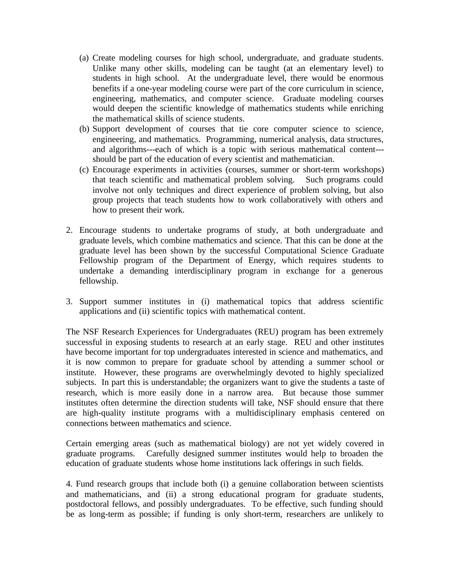- (a) Create modeling courses for high school, undergraduate, and graduate students. Unlike many other skills, modeling can be taught (at an elementary level) to students in high school. At the undergraduate level, there would be enormous benefits if a one-year modeling course were part of the core curriculum in science, engineering, mathematics, and computer science. Graduate modeling courses would deepen the scientific knowledge of mathematics students while enriching the mathematical skills of science students.
- (b) Support development of courses that tie core computer science to science, engineering, and mathematics. Programming, numerical analysis, data structures, and algorithms---each of which is a topic with serious mathematical content-- should be part of the education of every scientist and mathematician.
- (c) Encourage experiments in activities (courses, summer or short-term workshops) that teach scientific and mathematical problem solving. Such programs could involve not only techniques and direct experience of problem solving, but also group projects that teach students how to work collaboratively with others and how to present their work.
- 2. Encourage students to undertake programs of study, at both undergraduate and graduate levels, which combine mathematics and science. That this can be done at the graduate level has been shown by the successful Computational Science Graduate Fellowship program of the Department of Energy, which requires students to undertake a demanding interdisciplinary program in exchange for a generous fellowship.
- 3. Support summer institutes in (i) mathematical topics that address scientific applications and (ii) scientific topics with mathematical content.

The NSF Research Experiences for Undergraduates (REU) program has been extremely successful in exposing students to research at an early stage. REU and other institutes have become important for top undergraduates interested in science and mathematics, and it is now common to prepare for graduate school by attending a summer school or institute. However, these programs are overwhelmingly devoted to highly specialized subjects. In part this is understandable; the organizers want to give the students a taste of research, which is more easily done in a narrow area. But because those summer institutes often determine the direction students will take, NSF should ensure that there are high-quality institute programs with a multidisciplinary emphasis centered on connections between mathematics and science.

Certain emerging areas (such as mathematical biology) are not yet widely covered in graduate programs. Carefully designed summer institutes would help to broaden the education of graduate students whose home institutions lack offerings in such fields.

4. Fund research groups that include both (i) a genuine collaboration between scientists and mathematicians, and (ii) a strong educational program for graduate students, postdoctoral fellows, and possibly undergraduates. To be effective, such funding should be as long-term as possible; if funding is only short-term, researchers are unlikely to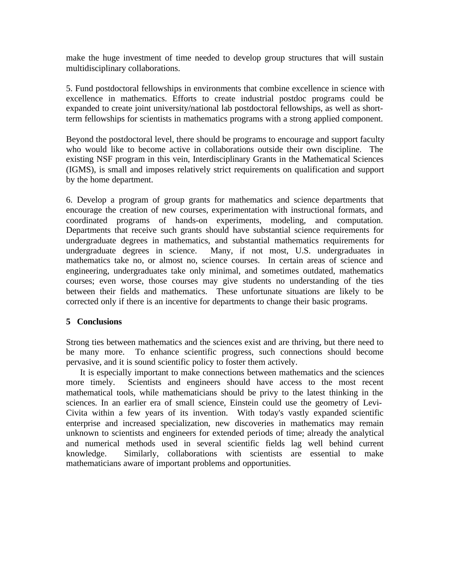make the huge investment of time needed to develop group structures that will sustain multidisciplinary collaborations.

5. Fund postdoctoral fellowships in environments that combine excellence in science with excellence in mathematics. Efforts to create industrial postdoc programs could be expanded to create joint university/national lab postdoctoral fellowships, as well as shortterm fellowships for scientists in mathematics programs with a strong applied component.

Beyond the postdoctoral level, there should be programs to encourage and support faculty who would like to become active in collaborations outside their own discipline. The existing NSF program in this vein, Interdisciplinary Grants in the Mathematical Sciences (IGMS), is small and imposes relatively strict requirements on qualification and support by the home department.

6. Develop a program of group grants for mathematics and science departments that encourage the creation of new courses, experimentation with instructional formats, and coordinated programs of hands-on experiments, modeling, and computation. Departments that receive such grants should have substantial science requirements for undergraduate degrees in mathematics, and substantial mathematics requirements for undergraduate degrees in science. Many, if not most, U.S. undergraduates in mathematics take no, or almost no, science courses. In certain areas of science and engineering, undergraduates take only minimal, and sometimes outdated, mathematics courses; even worse, those courses may give students no understanding of the ties between their fields and mathematics. These unfortunate situations are likely to be corrected only if there is an incentive for departments to change their basic programs.

### **5 Conclusions**

Strong ties between mathematics and the sciences exist and are thriving, but there need to be many more. To enhance scientific progress, such connections should become pervasive, and it is sound scientific policy to foster them actively.

 It is especially important to make connections between mathematics and the sciences more timely. Scientists and engineers should have access to the most recent mathematical tools, while mathematicians should be privy to the latest thinking in the sciences. In an earlier era of small science, Einstein could use the geometry of Levi-Civita within a few years of its invention. With today's vastly expanded scientific enterprise and increased specialization, new discoveries in mathematics may remain unknown to scientists and engineers for extended periods of time; already the analytical and numerical methods used in several scientific fields lag well behind current knowledge. Similarly, collaborations with scientists are essential to make mathematicians aware of important problems and opportunities.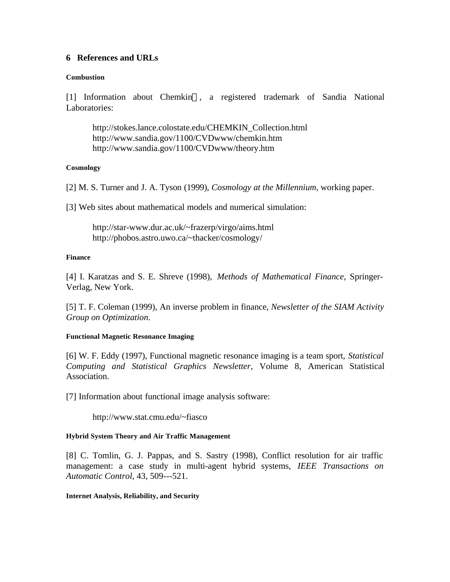### **6 References and URLs**

#### **Combustion**

 $[1]$  Information about Chemkin<sup>™</sup>, a registered trademark of Sandia National Laboratories:

http://stokes.lance.colostate.edu/CHEMKIN\_Collection.html http://www.sandia.gov/1100/CVDwww/chemkin.htm http://www.sandia.gov/1100/CVDwww/theory.htm

### **Cosmology**

[2] M. S. Turner and J. A. Tyson (1999), *Cosmology at the Millennium*, working paper.

[3] Web sites about mathematical models and numerical simulation:

http://star-www.dur.ac.uk/~frazerp/virgo/aims.html http://phobos.astro.uwo.ca/~thacker/cosmology/

#### **Finance**

[4] I. Karatzas and S. E. Shreve (1998), *Methods of Mathematical Finance*, Springer-Verlag, New York.

[5] T. F. Coleman (1999), An inverse problem in finance, *Newsletter of the SIAM Activity Group on Optimization*.

### **Functional Magnetic Resonance Imaging**

[6] W. F. Eddy (1997), Functional magnetic resonance imaging is a team sport, *Statistical Computing and Statistical Graphics Newsletter*, Volume 8, American Statistical Association.

[7] Information about functional image analysis software:

http://www.stat.cmu.edu/~fiasco

### **Hybrid System Theory and Air Traffic Management**

[8] C. Tomlin, G. J. Pappas, and S. Sastry (1998), Conflict resolution for air traffic management: a case study in multi-agent hybrid systems, *IEEE Transactions on Automatic Control*, 43, 509---521.

**Internet Analysis, Reliability, and Security**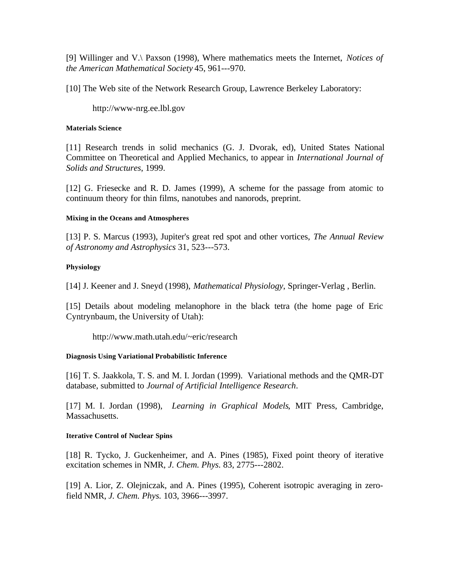[9] Willinger and V.\ Paxson (1998), Where mathematics meets the Internet, *Notices of the American Mathematical Society* 45, 961---970.

[10] The Web site of the Network Research Group, Lawrence Berkeley Laboratory:

http://www-nrg.ee.lbl.gov

#### **Materials Science**

[11] Research trends in solid mechanics (G. J. Dvorak, ed), United States National Committee on Theoretical and Applied Mechanics, to appear in *International Journal of Solids and Structures*, 1999.

[12] G. Friesecke and R. D. James (1999), A scheme for the passage from atomic to continuum theory for thin films, nanotubes and nanorods, preprint.

#### **Mixing in the Oceans and Atmospheres**

[13] P. S. Marcus (1993), Jupiter's great red spot and other vortices, *The Annual Review of Astronomy and Astrophysics* 31, 523---573.

### **Physiology**

[14] J. Keener and J. Sneyd (1998), *Mathematical Physiology*, Springer-Verlag , Berlin.

[15] Details about modeling melanophore in the black tetra (the home page of Eric Cyntrynbaum, the University of Utah):

http://www.math.utah.edu/~eric/research

### **Diagnosis Using Variational Probabilistic Inference**

[16] T. S. Jaakkola, T. S. and M. I. Jordan (1999). Variational methods and the QMR-DT database, submitted to *Journal of Artificial Intelligence Research*.

[17] M. I. Jordan (1998), *Learning in Graphical Models*, MIT Press, Cambridge, Massachusetts.

#### **Iterative Control of Nuclear Spins**

[18] R. Tycko, J. Guckenheimer, and A. Pines (1985), Fixed point theory of iterative excitation schemes in NMR, *J. Chem. Phys.* 83, 2775---2802.

[19] A. Lior, Z. Olejniczak, and A. Pines (1995), Coherent isotropic averaging in zerofield NMR, *J. Chem. Phys.* 103, 3966---3997.